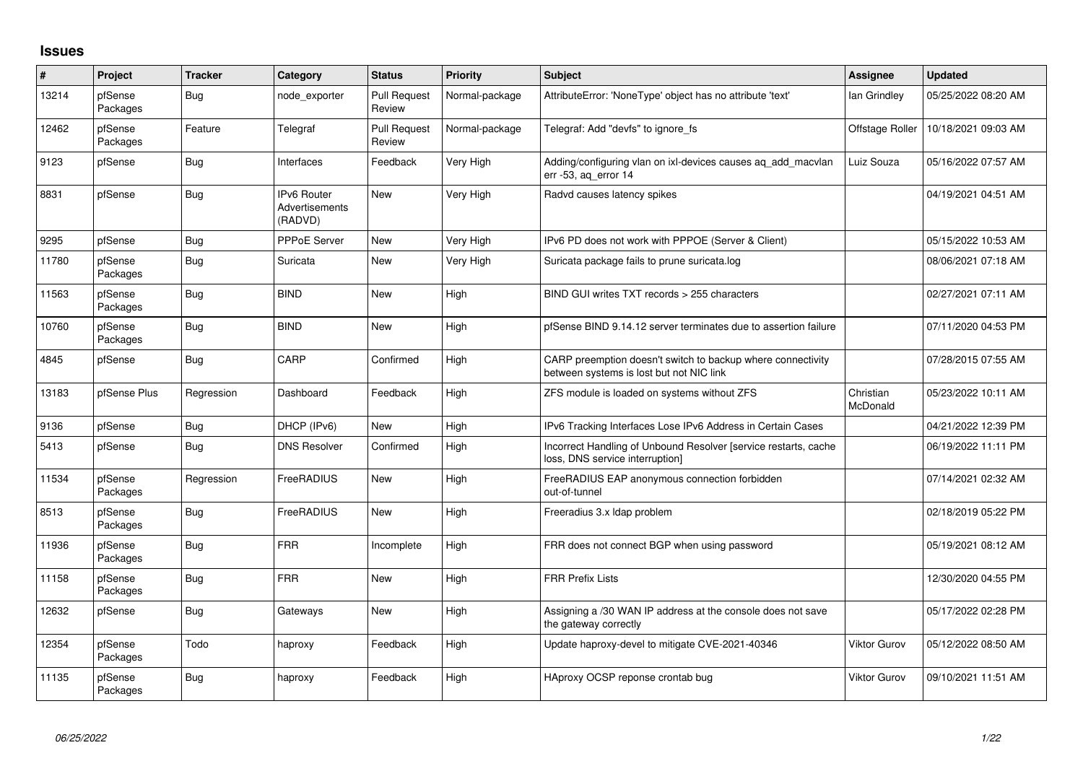## **Issues**

| #     | <b>Project</b>      | <b>Tracker</b> | Category                                        | <b>Status</b>                 | Priority       | <b>Subject</b>                                                                                          | <b>Assignee</b>       | <b>Updated</b>      |
|-------|---------------------|----------------|-------------------------------------------------|-------------------------------|----------------|---------------------------------------------------------------------------------------------------------|-----------------------|---------------------|
| 13214 | pfSense<br>Packages | <b>Bug</b>     | node exporter                                   | <b>Pull Request</b><br>Review | Normal-package | AttributeError: 'NoneType' object has no attribute 'text'                                               | lan Grindley          | 05/25/2022 08:20 AM |
| 12462 | pfSense<br>Packages | Feature        | Telegraf                                        | <b>Pull Request</b><br>Review | Normal-package | Telegraf: Add "devfs" to ignore fs                                                                      | Offstage Roller       | 10/18/2021 09:03 AM |
| 9123  | pfSense             | <b>Bug</b>     | Interfaces                                      | Feedback                      | Very High      | Adding/configuring vlan on ixl-devices causes aq_add_macvlan<br>err -53, aq_error 14                    | Luiz Souza            | 05/16/2022 07:57 AM |
| 8831  | pfSense             | <b>Bug</b>     | <b>IPv6 Router</b><br>Advertisements<br>(RADVD) | <b>New</b>                    | Very High      | Radvd causes latency spikes                                                                             |                       | 04/19/2021 04:51 AM |
| 9295  | pfSense             | Bug            | <b>PPPoE Server</b>                             | <b>New</b>                    | Very High      | IPv6 PD does not work with PPPOE (Server & Client)                                                      |                       | 05/15/2022 10:53 AM |
| 11780 | pfSense<br>Packages | <b>Bug</b>     | Suricata                                        | <b>New</b>                    | Very High      | Suricata package fails to prune suricata.log                                                            |                       | 08/06/2021 07:18 AM |
| 11563 | pfSense<br>Packages | <b>Bug</b>     | <b>BIND</b>                                     | <b>New</b>                    | High           | BIND GUI writes TXT records > 255 characters                                                            |                       | 02/27/2021 07:11 AM |
| 10760 | pfSense<br>Packages | <b>Bug</b>     | <b>BIND</b>                                     | <b>New</b>                    | High           | pfSense BIND 9.14.12 server terminates due to assertion failure                                         |                       | 07/11/2020 04:53 PM |
| 4845  | pfSense             | <b>Bug</b>     | CARP                                            | Confirmed                     | High           | CARP preemption doesn't switch to backup where connectivity<br>between systems is lost but not NIC link |                       | 07/28/2015 07:55 AM |
| 13183 | pfSense Plus        | Regression     | Dashboard                                       | Feedback                      | High           | ZFS module is loaded on systems without ZFS                                                             | Christian<br>McDonald | 05/23/2022 10:11 AM |
| 9136  | pfSense             | <b>Bug</b>     | DHCP (IPv6)                                     | <b>New</b>                    | High           | IPv6 Tracking Interfaces Lose IPv6 Address in Certain Cases                                             |                       | 04/21/2022 12:39 PM |
| 5413  | pfSense             | <b>Bug</b>     | <b>DNS Resolver</b>                             | Confirmed                     | High           | Incorrect Handling of Unbound Resolver [service restarts, cache<br>loss, DNS service interruption]      |                       | 06/19/2022 11:11 PM |
| 11534 | pfSense<br>Packages | Regression     | FreeRADIUS                                      | <b>New</b>                    | High           | FreeRADIUS EAP anonymous connection forbidden<br>out-of-tunnel                                          |                       | 07/14/2021 02:32 AM |
| 8513  | pfSense<br>Packages | <b>Bug</b>     | FreeRADIUS                                      | <b>New</b>                    | High           | Freeradius 3.x Idap problem                                                                             |                       | 02/18/2019 05:22 PM |
| 11936 | pfSense<br>Packages | Bug            | <b>FRR</b>                                      | Incomplete                    | High           | FRR does not connect BGP when using password                                                            |                       | 05/19/2021 08:12 AM |
| 11158 | pfSense<br>Packages | Bug            | <b>FRR</b>                                      | <b>New</b>                    | High           | <b>FRR Prefix Lists</b>                                                                                 |                       | 12/30/2020 04:55 PM |
| 12632 | pfSense             | <b>Bug</b>     | Gateways                                        | <b>New</b>                    | High           | Assigning a /30 WAN IP address at the console does not save<br>the gateway correctly                    |                       | 05/17/2022 02:28 PM |
| 12354 | pfSense<br>Packages | Todo           | haproxy                                         | Feedback                      | High           | Update haproxy-devel to mitigate CVE-2021-40346                                                         | Viktor Gurov          | 05/12/2022 08:50 AM |
| 11135 | pfSense<br>Packages | <b>Bug</b>     | haproxy                                         | Feedback                      | High           | HAproxy OCSP reponse crontab bug                                                                        | Viktor Gurov          | 09/10/2021 11:51 AM |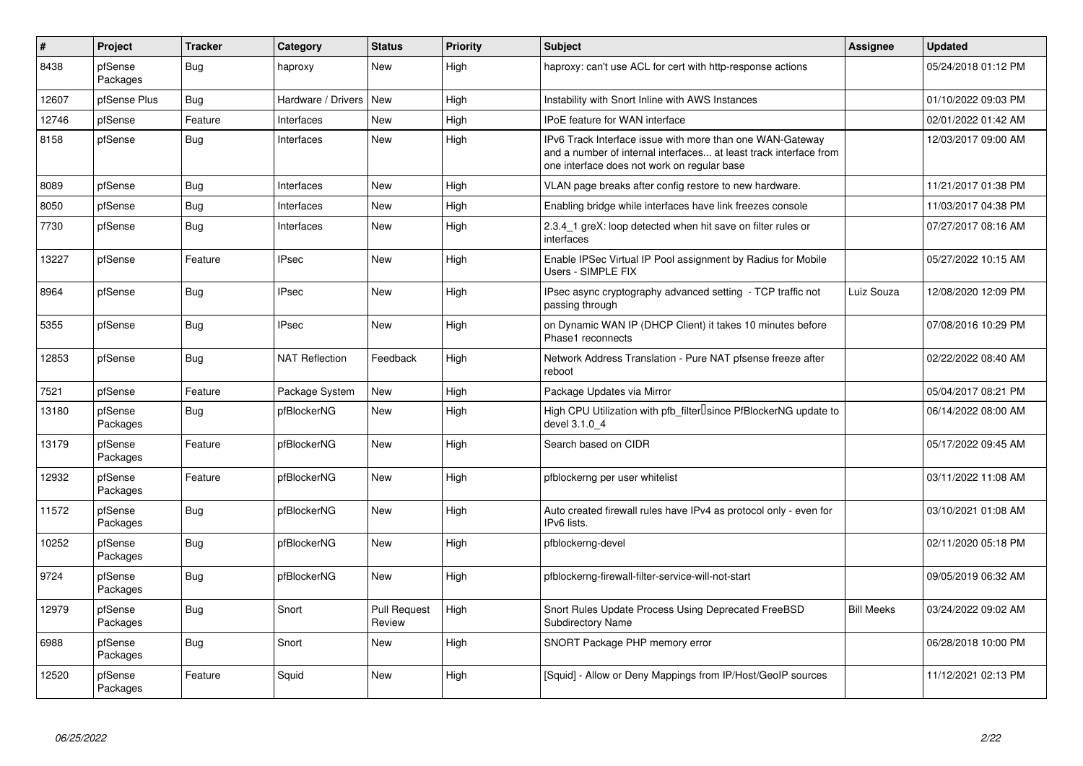| $\vert$ # | Project             | <b>Tracker</b> | Category              | <b>Status</b>                 | Priority | <b>Subject</b>                                                                                                                                                                | Assignee          | <b>Updated</b>      |
|-----------|---------------------|----------------|-----------------------|-------------------------------|----------|-------------------------------------------------------------------------------------------------------------------------------------------------------------------------------|-------------------|---------------------|
| 8438      | pfSense<br>Packages | Bug            | haproxy               | <b>New</b>                    | High     | haproxy: can't use ACL for cert with http-response actions                                                                                                                    |                   | 05/24/2018 01:12 PM |
| 12607     | pfSense Plus        | Bug            | Hardware / Drivers    | <b>New</b>                    | High     | Instability with Snort Inline with AWS Instances                                                                                                                              |                   | 01/10/2022 09:03 PM |
| 12746     | pfSense             | Feature        | Interfaces            | <b>New</b>                    | High     | IPoE feature for WAN interface                                                                                                                                                |                   | 02/01/2022 01:42 AM |
| 8158      | pfSense             | Bug            | Interfaces            | <b>New</b>                    | High     | IPv6 Track Interface issue with more than one WAN-Gateway<br>and a number of internal interfaces at least track interface from<br>one interface does not work on regular base |                   | 12/03/2017 09:00 AM |
| 8089      | pfSense             | Bug            | Interfaces            | <b>New</b>                    | Hiah     | VLAN page breaks after config restore to new hardware.                                                                                                                        |                   | 11/21/2017 01:38 PM |
| 8050      | pfSense             | Bug            | Interfaces            | New                           | High     | Enabling bridge while interfaces have link freezes console                                                                                                                    |                   | 11/03/2017 04:38 PM |
| 7730      | pfSense             | <b>Bug</b>     | Interfaces            | <b>New</b>                    | High     | 2.3.4_1 greX: loop detected when hit save on filter rules or<br>interfaces                                                                                                    |                   | 07/27/2017 08:16 AM |
| 13227     | pfSense             | Feature        | <b>IPsec</b>          | <b>New</b>                    | High     | Enable IPSec Virtual IP Pool assignment by Radius for Mobile<br>Users - SIMPLE FIX                                                                                            |                   | 05/27/2022 10:15 AM |
| 8964      | pfSense             | Bug            | <b>IPsec</b>          | <b>New</b>                    | High     | IPsec async cryptography advanced setting - TCP traffic not<br>passing through                                                                                                | Luiz Souza        | 12/08/2020 12:09 PM |
| 5355      | pfSense             | <b>Bug</b>     | <b>IPsec</b>          | <b>New</b>                    | High     | on Dynamic WAN IP (DHCP Client) it takes 10 minutes before<br>Phase1 reconnects                                                                                               |                   | 07/08/2016 10:29 PM |
| 12853     | pfSense             | Bug            | <b>NAT Reflection</b> | Feedback                      | High     | Network Address Translation - Pure NAT pfsense freeze after<br>reboot                                                                                                         |                   | 02/22/2022 08:40 AM |
| 7521      | pfSense             | Feature        | Package System        | <b>New</b>                    | High     | Package Updates via Mirror                                                                                                                                                    |                   | 05/04/2017 08:21 PM |
| 13180     | pfSense<br>Packages | Bug            | pfBlockerNG           | New                           | High     | High CPU Utilization with pfb_filter <sup>[]</sup> since PfBlockerNG update to<br>devel 3.1.0_4                                                                               |                   | 06/14/2022 08:00 AM |
| 13179     | pfSense<br>Packages | Feature        | pfBlockerNG           | New                           | High     | Search based on CIDR                                                                                                                                                          |                   | 05/17/2022 09:45 AM |
| 12932     | pfSense<br>Packages | Feature        | pfBlockerNG           | <b>New</b>                    | High     | pfblockerng per user whitelist                                                                                                                                                |                   | 03/11/2022 11:08 AM |
| 11572     | pfSense<br>Packages | <b>Bug</b>     | pfBlockerNG           | <b>New</b>                    | High     | Auto created firewall rules have IPv4 as protocol only - even for<br>IPv6 lists.                                                                                              |                   | 03/10/2021 01:08 AM |
| 10252     | pfSense<br>Packages | <b>Bug</b>     | pfBlockerNG           | <b>New</b>                    | High     | pfblockerng-devel                                                                                                                                                             |                   | 02/11/2020 05:18 PM |
| 9724      | pfSense<br>Packages | Bug            | pfBlockerNG           | <b>New</b>                    | High     | pfblockerng-firewall-filter-service-will-not-start                                                                                                                            |                   | 09/05/2019 06:32 AM |
| 12979     | pfSense<br>Packages | <b>Bug</b>     | Snort                 | <b>Pull Request</b><br>Review | High     | Snort Rules Update Process Using Deprecated FreeBSD<br><b>Subdirectory Name</b>                                                                                               | <b>Bill Meeks</b> | 03/24/2022 09:02 AM |
| 6988      | pfSense<br>Packages | <b>Bug</b>     | Snort                 | <b>New</b>                    | High     | SNORT Package PHP memory error                                                                                                                                                |                   | 06/28/2018 10:00 PM |
| 12520     | pfSense<br>Packages | Feature        | Squid                 | <b>New</b>                    | High     | [Squid] - Allow or Deny Mappings from IP/Host/GeoIP sources                                                                                                                   |                   | 11/12/2021 02:13 PM |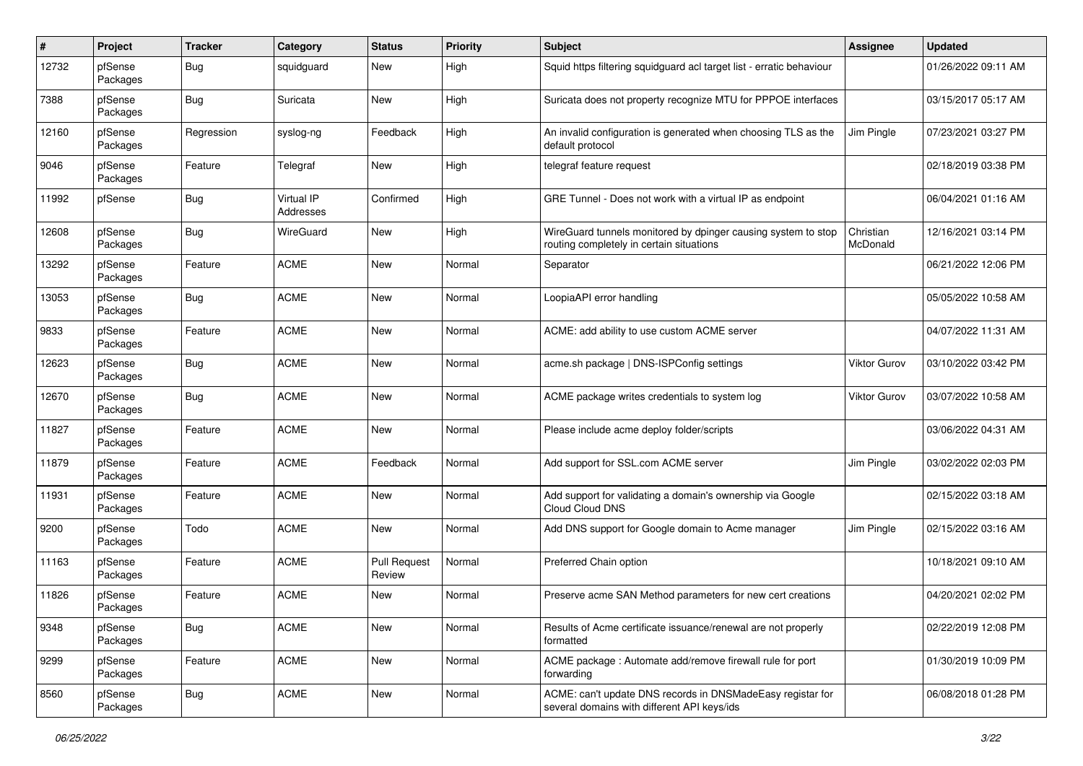| #     | Project             | <b>Tracker</b> | Category                | <b>Status</b>                 | <b>Priority</b> | Subject                                                                                                   | <b>Assignee</b>       | <b>Updated</b>      |
|-------|---------------------|----------------|-------------------------|-------------------------------|-----------------|-----------------------------------------------------------------------------------------------------------|-----------------------|---------------------|
| 12732 | pfSense<br>Packages | <b>Bug</b>     | squidguard              | New                           | High            | Squid https filtering squidguard acl target list - erratic behaviour                                      |                       | 01/26/2022 09:11 AM |
| 7388  | pfSense<br>Packages | <b>Bug</b>     | Suricata                | <b>New</b>                    | High            | Suricata does not property recognize MTU for PPPOE interfaces                                             |                       | 03/15/2017 05:17 AM |
| 12160 | pfSense<br>Packages | Regression     | syslog-ng               | Feedback                      | High            | An invalid configuration is generated when choosing TLS as the<br>default protocol                        | Jim Pingle            | 07/23/2021 03:27 PM |
| 9046  | pfSense<br>Packages | Feature        | Telegraf                | New                           | High            | telegraf feature request                                                                                  |                       | 02/18/2019 03:38 PM |
| 11992 | pfSense             | <b>Bug</b>     | Virtual IP<br>Addresses | Confirmed                     | High            | GRE Tunnel - Does not work with a virtual IP as endpoint                                                  |                       | 06/04/2021 01:16 AM |
| 12608 | pfSense<br>Packages | Bug            | WireGuard               | New                           | High            | WireGuard tunnels monitored by dpinger causing system to stop<br>routing completely in certain situations | Christian<br>McDonald | 12/16/2021 03:14 PM |
| 13292 | pfSense<br>Packages | Feature        | <b>ACME</b>             | New                           | Normal          | Separator                                                                                                 |                       | 06/21/2022 12:06 PM |
| 13053 | pfSense<br>Packages | Bug            | <b>ACME</b>             | New                           | Normal          | LoopiaAPI error handling                                                                                  |                       | 05/05/2022 10:58 AM |
| 9833  | pfSense<br>Packages | Feature        | <b>ACME</b>             | <b>New</b>                    | Normal          | ACME: add ability to use custom ACME server                                                               |                       | 04/07/2022 11:31 AM |
| 12623 | pfSense<br>Packages | <b>Bug</b>     | <b>ACME</b>             | <b>New</b>                    | Normal          | acme.sh package   DNS-ISPConfig settings                                                                  | Viktor Gurov          | 03/10/2022 03:42 PM |
| 12670 | pfSense<br>Packages | Bug            | <b>ACME</b>             | New                           | Normal          | ACME package writes credentials to system log                                                             | Viktor Gurov          | 03/07/2022 10:58 AM |
| 11827 | pfSense<br>Packages | Feature        | <b>ACME</b>             | New                           | Normal          | Please include acme deploy folder/scripts                                                                 |                       | 03/06/2022 04:31 AM |
| 11879 | pfSense<br>Packages | Feature        | <b>ACME</b>             | Feedback                      | Normal          | Add support for SSL.com ACME server                                                                       | Jim Pingle            | 03/02/2022 02:03 PM |
| 11931 | pfSense<br>Packages | Feature        | <b>ACME</b>             | New                           | Normal          | Add support for validating a domain's ownership via Google<br>Cloud Cloud DNS                             |                       | 02/15/2022 03:18 AM |
| 9200  | pfSense<br>Packages | Todo           | <b>ACME</b>             | New                           | Normal          | Add DNS support for Google domain to Acme manager                                                         | Jim Pingle            | 02/15/2022 03:16 AM |
| 11163 | pfSense<br>Packages | Feature        | <b>ACME</b>             | <b>Pull Request</b><br>Review | Normal          | Preferred Chain option                                                                                    |                       | 10/18/2021 09:10 AM |
| 11826 | pfSense<br>Packages | Feature        | <b>ACME</b>             | New                           | Normal          | Preserve acme SAN Method parameters for new cert creations                                                |                       | 04/20/2021 02:02 PM |
| 9348  | pfSense<br>Packages | Bug            | ACME                    | New                           | Normal          | Results of Acme certificate issuance/renewal are not properly<br>formatted                                |                       | 02/22/2019 12:08 PM |
| 9299  | pfSense<br>Packages | Feature        | <b>ACME</b>             | New                           | Normal          | ACME package : Automate add/remove firewall rule for port<br>forwarding                                   |                       | 01/30/2019 10:09 PM |
| 8560  | pfSense<br>Packages | <b>Bug</b>     | <b>ACME</b>             | New                           | Normal          | ACME: can't update DNS records in DNSMadeEasy registar for<br>several domains with different API keys/ids |                       | 06/08/2018 01:28 PM |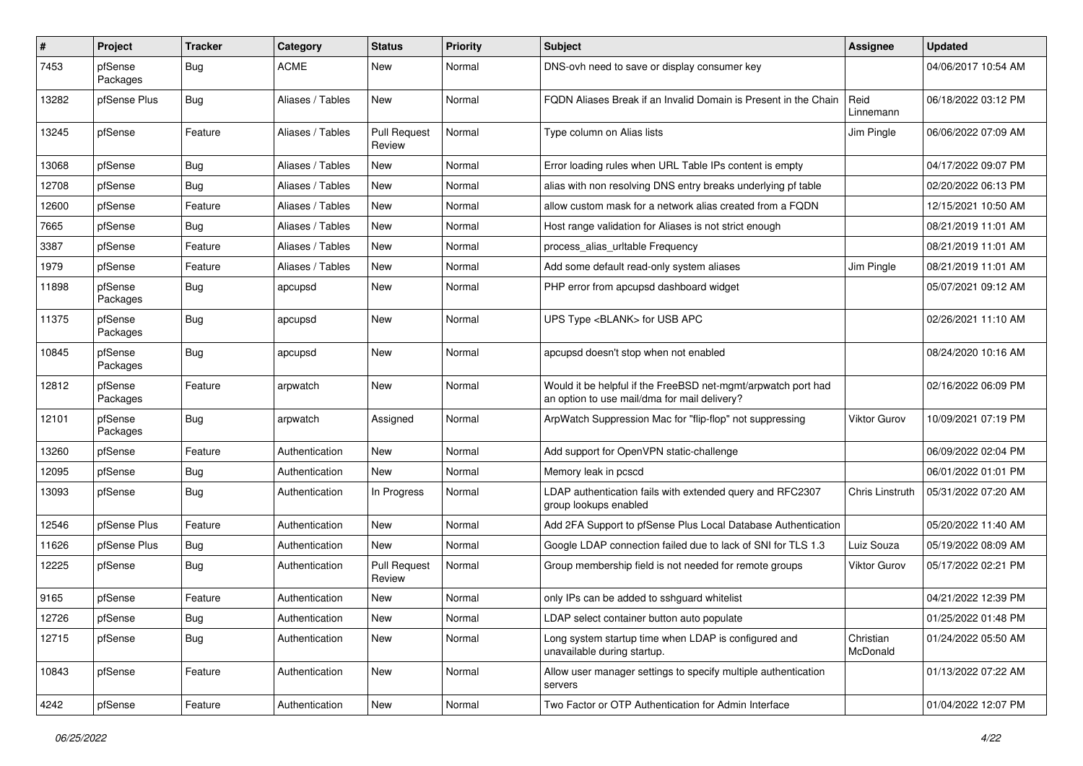| $\#$  | Project             | <b>Tracker</b> | Category         | <b>Status</b>                 | Priority | Subject                                                                                                       | <b>Assignee</b>       | <b>Updated</b>      |
|-------|---------------------|----------------|------------------|-------------------------------|----------|---------------------------------------------------------------------------------------------------------------|-----------------------|---------------------|
| 7453  | pfSense<br>Packages | <b>Bug</b>     | <b>ACME</b>      | New                           | Normal   | DNS-ovh need to save or display consumer key                                                                  |                       | 04/06/2017 10:54 AM |
| 13282 | pfSense Plus        | Bug            | Aliases / Tables | <b>New</b>                    | Normal   | FQDN Aliases Break if an Invalid Domain is Present in the Chain                                               | Reid<br>Linnemann     | 06/18/2022 03:12 PM |
| 13245 | pfSense             | Feature        | Aliases / Tables | <b>Pull Request</b><br>Review | Normal   | Type column on Alias lists                                                                                    | Jim Pingle            | 06/06/2022 07:09 AM |
| 13068 | pfSense             | <b>Bug</b>     | Aliases / Tables | <b>New</b>                    | Normal   | Error loading rules when URL Table IPs content is empty                                                       |                       | 04/17/2022 09:07 PM |
| 12708 | pfSense             | Bug            | Aliases / Tables | <b>New</b>                    | Normal   | alias with non resolving DNS entry breaks underlying pf table                                                 |                       | 02/20/2022 06:13 PM |
| 12600 | pfSense             | Feature        | Aliases / Tables | New                           | Normal   | allow custom mask for a network alias created from a FQDN                                                     |                       | 12/15/2021 10:50 AM |
| 7665  | pfSense             | Bug            | Aliases / Tables | <b>New</b>                    | Normal   | Host range validation for Aliases is not strict enough                                                        |                       | 08/21/2019 11:01 AM |
| 3387  | pfSense             | Feature        | Aliases / Tables | New                           | Normal   | process alias urltable Frequency                                                                              |                       | 08/21/2019 11:01 AM |
| 1979  | pfSense             | Feature        | Aliases / Tables | New                           | Normal   | Add some default read-only system aliases                                                                     | Jim Pingle            | 08/21/2019 11:01 AM |
| 11898 | pfSense<br>Packages | <b>Bug</b>     | apcupsd          | <b>New</b>                    | Normal   | PHP error from apcupsd dashboard widget                                                                       |                       | 05/07/2021 09:12 AM |
| 11375 | pfSense<br>Packages | Bug            | apcupsd          | New                           | Normal   | UPS Type <blank> for USB APC</blank>                                                                          |                       | 02/26/2021 11:10 AM |
| 10845 | pfSense<br>Packages | Bug            | apcupsd          | <b>New</b>                    | Normal   | apcupsd doesn't stop when not enabled                                                                         |                       | 08/24/2020 10:16 AM |
| 12812 | pfSense<br>Packages | Feature        | arpwatch         | New                           | Normal   | Would it be helpful if the FreeBSD net-mgmt/arpwatch port had<br>an option to use mail/dma for mail delivery? |                       | 02/16/2022 06:09 PM |
| 12101 | pfSense<br>Packages | <b>Bug</b>     | arpwatch         | Assigned                      | Normal   | ArpWatch Suppression Mac for "flip-flop" not suppressing                                                      | Viktor Gurov          | 10/09/2021 07:19 PM |
| 13260 | pfSense             | Feature        | Authentication   | <b>New</b>                    | Normal   | Add support for OpenVPN static-challenge                                                                      |                       | 06/09/2022 02:04 PM |
| 12095 | pfSense             | <b>Bug</b>     | Authentication   | <b>New</b>                    | Normal   | Memory leak in pcscd                                                                                          |                       | 06/01/2022 01:01 PM |
| 13093 | pfSense             | Bug            | Authentication   | In Progress                   | Normal   | LDAP authentication fails with extended query and RFC2307<br>group lookups enabled                            | Chris Linstruth       | 05/31/2022 07:20 AM |
| 12546 | pfSense Plus        | Feature        | Authentication   | <b>New</b>                    | Normal   | Add 2FA Support to pfSense Plus Local Database Authentication                                                 |                       | 05/20/2022 11:40 AM |
| 11626 | pfSense Plus        | <b>Bug</b>     | Authentication   | New                           | Normal   | Google LDAP connection failed due to lack of SNI for TLS 1.3                                                  | Luiz Souza            | 05/19/2022 08:09 AM |
| 12225 | pfSense             | Bug            | Authentication   | <b>Pull Request</b><br>Review | Normal   | Group membership field is not needed for remote groups                                                        | Viktor Gurov          | 05/17/2022 02:21 PM |
| 9165  | pfSense             | Feature        | Authentication   | New                           | Normal   | only IPs can be added to sshquard whitelist                                                                   |                       | 04/21/2022 12:39 PM |
| 12726 | pfSense             | Bug            | Authentication   | New                           | Normal   | LDAP select container button auto populate                                                                    |                       | 01/25/2022 01:48 PM |
| 12715 | pfSense             | <b>Bug</b>     | Authentication   | New                           | Normal   | Long system startup time when LDAP is configured and<br>unavailable during startup.                           | Christian<br>McDonald | 01/24/2022 05:50 AM |
| 10843 | pfSense             | Feature        | Authentication   | <b>New</b>                    | Normal   | Allow user manager settings to specify multiple authentication<br>servers                                     |                       | 01/13/2022 07:22 AM |
| 4242  | pfSense             | Feature        | Authentication   | New                           | Normal   | Two Factor or OTP Authentication for Admin Interface                                                          |                       | 01/04/2022 12:07 PM |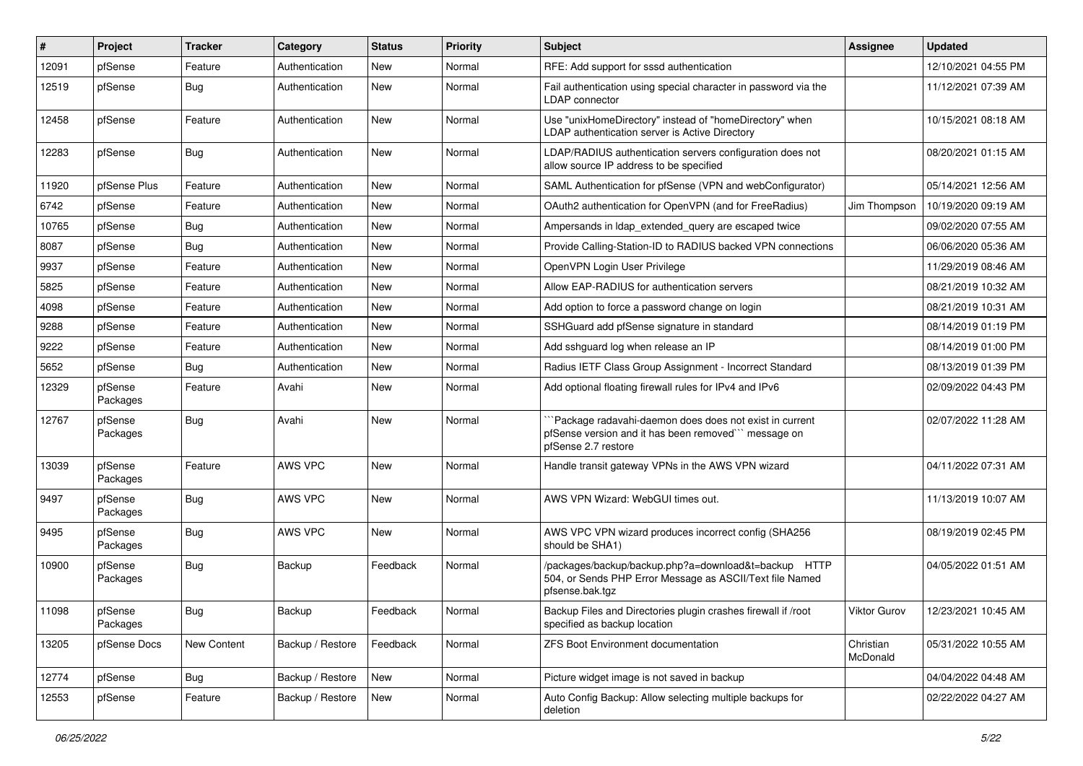| $\#$  | Project             | <b>Tracker</b> | Category         | <b>Status</b> | Priority | <b>Subject</b>                                                                                                                       | <b>Assignee</b>       | <b>Updated</b>      |
|-------|---------------------|----------------|------------------|---------------|----------|--------------------------------------------------------------------------------------------------------------------------------------|-----------------------|---------------------|
| 12091 | pfSense             | Feature        | Authentication   | New           | Normal   | RFE: Add support for sssd authentication                                                                                             |                       | 12/10/2021 04:55 PM |
| 12519 | pfSense             | Bug            | Authentication   | New           | Normal   | Fail authentication using special character in password via the<br><b>LDAP</b> connector                                             |                       | 11/12/2021 07:39 AM |
| 12458 | pfSense             | Feature        | Authentication   | New           | Normal   | Use "unixHomeDirectory" instead of "homeDirectory" when<br>LDAP authentication server is Active Directory                            |                       | 10/15/2021 08:18 AM |
| 12283 | pfSense             | Bug            | Authentication   | <b>New</b>    | Normal   | LDAP/RADIUS authentication servers configuration does not<br>allow source IP address to be specified                                 |                       | 08/20/2021 01:15 AM |
| 11920 | pfSense Plus        | Feature        | Authentication   | New           | Normal   | SAML Authentication for pfSense (VPN and webConfigurator)                                                                            |                       | 05/14/2021 12:56 AM |
| 6742  | pfSense             | Feature        | Authentication   | New           | Normal   | OAuth2 authentication for OpenVPN (and for FreeRadius)                                                                               | Jim Thompson          | 10/19/2020 09:19 AM |
| 10765 | pfSense             | Bug            | Authentication   | New           | Normal   | Ampersands in Idap_extended_query are escaped twice                                                                                  |                       | 09/02/2020 07:55 AM |
| 8087  | pfSense             | Bug            | Authentication   | New           | Normal   | Provide Calling-Station-ID to RADIUS backed VPN connections                                                                          |                       | 06/06/2020 05:36 AM |
| 9937  | pfSense             | Feature        | Authentication   | New           | Normal   | OpenVPN Login User Privilege                                                                                                         |                       | 11/29/2019 08:46 AM |
| 5825  | pfSense             | Feature        | Authentication   | New           | Normal   | Allow EAP-RADIUS for authentication servers                                                                                          |                       | 08/21/2019 10:32 AM |
| 4098  | pfSense             | Feature        | Authentication   | New           | Normal   | Add option to force a password change on login                                                                                       |                       | 08/21/2019 10:31 AM |
| 9288  | pfSense             | Feature        | Authentication   | New           | Normal   | SSHGuard add pfSense signature in standard                                                                                           |                       | 08/14/2019 01:19 PM |
| 9222  | pfSense             | Feature        | Authentication   | New           | Normal   | Add sshguard log when release an IP                                                                                                  |                       | 08/14/2019 01:00 PM |
| 5652  | pfSense             | Bug            | Authentication   | New           | Normal   | Radius IETF Class Group Assignment - Incorrect Standard                                                                              |                       | 08/13/2019 01:39 PM |
| 12329 | pfSense<br>Packages | Feature        | Avahi            | New           | Normal   | Add optional floating firewall rules for IPv4 and IPv6                                                                               |                       | 02/09/2022 04:43 PM |
| 12767 | pfSense<br>Packages | Bug            | Avahi            | New           | Normal   | Package radavahi-daemon does does not exist in current<br>pfSense version and it has been removed" message on<br>pfSense 2.7 restore |                       | 02/07/2022 11:28 AM |
| 13039 | pfSense<br>Packages | Feature        | AWS VPC          | New           | Normal   | Handle transit gateway VPNs in the AWS VPN wizard                                                                                    |                       | 04/11/2022 07:31 AM |
| 9497  | pfSense<br>Packages | Bug            | AWS VPC          | New           | Normal   | AWS VPN Wizard: WebGUI times out.                                                                                                    |                       | 11/13/2019 10:07 AM |
| 9495  | pfSense<br>Packages | Bug            | AWS VPC          | <b>New</b>    | Normal   | AWS VPC VPN wizard produces incorrect config (SHA256<br>should be SHA1)                                                              |                       | 08/19/2019 02:45 PM |
| 10900 | pfSense<br>Packages | Bug            | Backup           | Feedback      | Normal   | /packages/backup/backup.php?a=download&t=backup HTTP<br>504, or Sends PHP Error Message as ASCII/Text file Named<br>pfsense.bak.tgz  |                       | 04/05/2022 01:51 AM |
| 11098 | pfSense<br>Packages | Bug            | Backup           | Feedback      | Normal   | Backup Files and Directories plugin crashes firewall if /root<br>specified as backup location                                        | Viktor Gurov          | 12/23/2021 10:45 AM |
| 13205 | pfSense Docs        | New Content    | Backup / Restore | Feedback      | Normal   | ZFS Boot Environment documentation                                                                                                   | Christian<br>McDonald | 05/31/2022 10:55 AM |
| 12774 | pfSense             | Bug            | Backup / Restore | New           | Normal   | Picture widget image is not saved in backup                                                                                          |                       | 04/04/2022 04:48 AM |
| 12553 | pfSense             | Feature        | Backup / Restore | New           | Normal   | Auto Config Backup: Allow selecting multiple backups for<br>deletion                                                                 |                       | 02/22/2022 04:27 AM |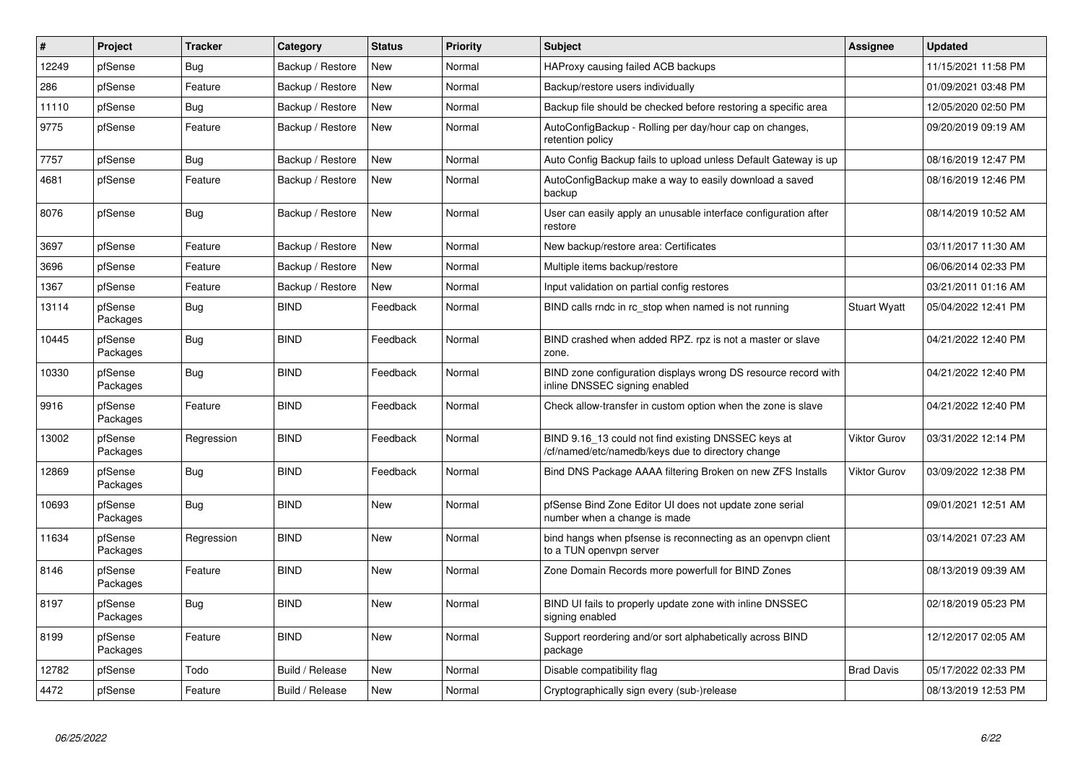| #     | Project             | <b>Tracker</b> | Category         | <b>Status</b> | Priority | <b>Subject</b>                                                                                           | <b>Assignee</b>     | <b>Updated</b>      |
|-------|---------------------|----------------|------------------|---------------|----------|----------------------------------------------------------------------------------------------------------|---------------------|---------------------|
| 12249 | pfSense             | Bug            | Backup / Restore | New           | Normal   | HAProxy causing failed ACB backups                                                                       |                     | 11/15/2021 11:58 PM |
| 286   | pfSense             | Feature        | Backup / Restore | <b>New</b>    | Normal   | Backup/restore users individually                                                                        |                     | 01/09/2021 03:48 PM |
| 11110 | pfSense             | Bug            | Backup / Restore | <b>New</b>    | Normal   | Backup file should be checked before restoring a specific area                                           |                     | 12/05/2020 02:50 PM |
| 9775  | pfSense             | Feature        | Backup / Restore | New           | Normal   | AutoConfigBackup - Rolling per day/hour cap on changes,<br>retention policy                              |                     | 09/20/2019 09:19 AM |
| 7757  | pfSense             | <b>Bug</b>     | Backup / Restore | <b>New</b>    | Normal   | Auto Config Backup fails to upload unless Default Gateway is up                                          |                     | 08/16/2019 12:47 PM |
| 4681  | pfSense             | Feature        | Backup / Restore | <b>New</b>    | Normal   | AutoConfigBackup make a way to easily download a saved<br>backup                                         |                     | 08/16/2019 12:46 PM |
| 8076  | pfSense             | <b>Bug</b>     | Backup / Restore | <b>New</b>    | Normal   | User can easily apply an unusable interface configuration after<br>restore                               |                     | 08/14/2019 10:52 AM |
| 3697  | pfSense             | Feature        | Backup / Restore | <b>New</b>    | Normal   | New backup/restore area: Certificates                                                                    |                     | 03/11/2017 11:30 AM |
| 3696  | pfSense             | Feature        | Backup / Restore | New           | Normal   | Multiple items backup/restore                                                                            |                     | 06/06/2014 02:33 PM |
| 1367  | pfSense             | Feature        | Backup / Restore | <b>New</b>    | Normal   | Input validation on partial config restores                                                              |                     | 03/21/2011 01:16 AM |
| 13114 | pfSense<br>Packages | Bug            | <b>BIND</b>      | Feedback      | Normal   | BIND calls rndc in rc_stop when named is not running                                                     | <b>Stuart Wyatt</b> | 05/04/2022 12:41 PM |
| 10445 | pfSense<br>Packages | Bug            | <b>BIND</b>      | Feedback      | Normal   | BIND crashed when added RPZ. rpz is not a master or slave<br>zone.                                       |                     | 04/21/2022 12:40 PM |
| 10330 | pfSense<br>Packages | Bug            | <b>BIND</b>      | Feedback      | Normal   | BIND zone configuration displays wrong DS resource record with<br>inline DNSSEC signing enabled          |                     | 04/21/2022 12:40 PM |
| 9916  | pfSense<br>Packages | Feature        | <b>BIND</b>      | Feedback      | Normal   | Check allow-transfer in custom option when the zone is slave                                             |                     | 04/21/2022 12:40 PM |
| 13002 | pfSense<br>Packages | Regression     | <b>BIND</b>      | Feedback      | Normal   | BIND 9.16_13 could not find existing DNSSEC keys at<br>/cf/named/etc/namedb/keys due to directory change | Viktor Gurov        | 03/31/2022 12:14 PM |
| 12869 | pfSense<br>Packages | <b>Bug</b>     | <b>BIND</b>      | Feedback      | Normal   | Bind DNS Package AAAA filtering Broken on new ZFS Installs                                               | Viktor Gurov        | 03/09/2022 12:38 PM |
| 10693 | pfSense<br>Packages | Bug            | <b>BIND</b>      | <b>New</b>    | Normal   | pfSense Bind Zone Editor UI does not update zone serial<br>number when a change is made                  |                     | 09/01/2021 12:51 AM |
| 11634 | pfSense<br>Packages | Regression     | <b>BIND</b>      | <b>New</b>    | Normal   | bind hangs when pfsense is reconnecting as an openypn client<br>to a TUN openvpn server                  |                     | 03/14/2021 07:23 AM |
| 8146  | pfSense<br>Packages | Feature        | <b>BIND</b>      | <b>New</b>    | Normal   | Zone Domain Records more powerfull for BIND Zones                                                        |                     | 08/13/2019 09:39 AM |
| 8197  | pfSense<br>Packages | <b>Bug</b>     | <b>BIND</b>      | <b>New</b>    | Normal   | BIND UI fails to properly update zone with inline DNSSEC<br>signing enabled                              |                     | 02/18/2019 05:23 PM |
| 8199  | pfSense<br>Packages | Feature        | <b>BIND</b>      | New           | Normal   | Support reordering and/or sort alphabetically across BIND<br>package                                     |                     | 12/12/2017 02:05 AM |
| 12782 | pfSense             | Todo           | Build / Release  | New           | Normal   | Disable compatibility flag                                                                               | <b>Brad Davis</b>   | 05/17/2022 02:33 PM |
| 4472  | pfSense             | Feature        | Build / Release  | New           | Normal   | Cryptographically sign every (sub-)release                                                               |                     | 08/13/2019 12:53 PM |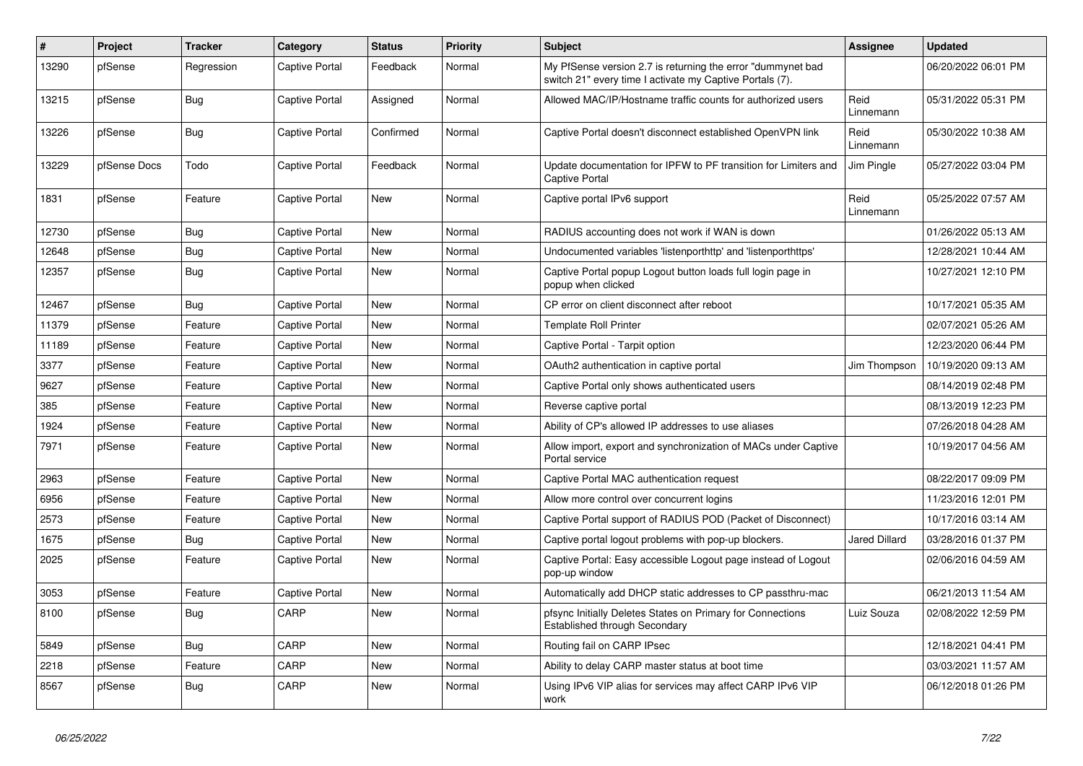| $\sharp$ | Project      | <b>Tracker</b> | Category              | <b>Status</b> | <b>Priority</b> | <b>Subject</b>                                                                                                          | <b>Assignee</b>      | <b>Updated</b>      |
|----------|--------------|----------------|-----------------------|---------------|-----------------|-------------------------------------------------------------------------------------------------------------------------|----------------------|---------------------|
| 13290    | pfSense      | Regression     | <b>Captive Portal</b> | Feedback      | Normal          | My PfSense version 2.7 is returning the error "dummynet bad<br>switch 21" every time I activate my Captive Portals (7). |                      | 06/20/2022 06:01 PM |
| 13215    | pfSense      | Bug            | <b>Captive Portal</b> | Assigned      | Normal          | Allowed MAC/IP/Hostname traffic counts for authorized users                                                             | Reid<br>Linnemann    | 05/31/2022 05:31 PM |
| 13226    | pfSense      | Bug            | <b>Captive Portal</b> | Confirmed     | Normal          | Captive Portal doesn't disconnect established OpenVPN link                                                              | Reid<br>Linnemann    | 05/30/2022 10:38 AM |
| 13229    | pfSense Docs | Todo           | <b>Captive Portal</b> | Feedback      | Normal          | Update documentation for IPFW to PF transition for Limiters and<br>Captive Portal                                       | Jim Pingle           | 05/27/2022 03:04 PM |
| 1831     | pfSense      | Feature        | Captive Portal        | New           | Normal          | Captive portal IPv6 support                                                                                             | Reid<br>Linnemann    | 05/25/2022 07:57 AM |
| 12730    | pfSense      | Bug            | <b>Captive Portal</b> | <b>New</b>    | Normal          | RADIUS accounting does not work if WAN is down                                                                          |                      | 01/26/2022 05:13 AM |
| 12648    | pfSense      | <b>Bug</b>     | <b>Captive Portal</b> | New           | Normal          | Undocumented variables 'listenporthttp' and 'listenporthttps'                                                           |                      | 12/28/2021 10:44 AM |
| 12357    | pfSense      | <b>Bug</b>     | <b>Captive Portal</b> | New           | Normal          | Captive Portal popup Logout button loads full login page in<br>popup when clicked                                       |                      | 10/27/2021 12:10 PM |
| 12467    | pfSense      | Bug            | <b>Captive Portal</b> | New           | Normal          | CP error on client disconnect after reboot                                                                              |                      | 10/17/2021 05:35 AM |
| 11379    | pfSense      | Feature        | <b>Captive Portal</b> | <b>New</b>    | Normal          | <b>Template Roll Printer</b>                                                                                            |                      | 02/07/2021 05:26 AM |
| 11189    | pfSense      | Feature        | <b>Captive Portal</b> | <b>New</b>    | Normal          | Captive Portal - Tarpit option                                                                                          |                      | 12/23/2020 06:44 PM |
| 3377     | pfSense      | Feature        | <b>Captive Portal</b> | <b>New</b>    | Normal          | OAuth2 authentication in captive portal                                                                                 | Jim Thompson         | 10/19/2020 09:13 AM |
| 9627     | pfSense      | Feature        | <b>Captive Portal</b> | New           | Normal          | Captive Portal only shows authenticated users                                                                           |                      | 08/14/2019 02:48 PM |
| 385      | pfSense      | Feature        | <b>Captive Portal</b> | New           | Normal          | Reverse captive portal                                                                                                  |                      | 08/13/2019 12:23 PM |
| 1924     | pfSense      | Feature        | <b>Captive Portal</b> | <b>New</b>    | Normal          | Ability of CP's allowed IP addresses to use aliases                                                                     |                      | 07/26/2018 04:28 AM |
| 7971     | pfSense      | Feature        | <b>Captive Portal</b> | <b>New</b>    | Normal          | Allow import, export and synchronization of MACs under Captive<br>Portal service                                        |                      | 10/19/2017 04:56 AM |
| 2963     | pfSense      | Feature        | <b>Captive Portal</b> | New           | Normal          | Captive Portal MAC authentication request                                                                               |                      | 08/22/2017 09:09 PM |
| 6956     | pfSense      | Feature        | <b>Captive Portal</b> | New           | Normal          | Allow more control over concurrent logins                                                                               |                      | 11/23/2016 12:01 PM |
| 2573     | pfSense      | Feature        | <b>Captive Portal</b> | <b>New</b>    | Normal          | Captive Portal support of RADIUS POD (Packet of Disconnect)                                                             |                      | 10/17/2016 03:14 AM |
| 1675     | pfSense      | <b>Bug</b>     | <b>Captive Portal</b> | <b>New</b>    | Normal          | Captive portal logout problems with pop-up blockers.                                                                    | <b>Jared Dillard</b> | 03/28/2016 01:37 PM |
| 2025     | pfSense      | Feature        | <b>Captive Portal</b> | <b>New</b>    | Normal          | Captive Portal: Easy accessible Logout page instead of Logout<br>pop-up window                                          |                      | 02/06/2016 04:59 AM |
| 3053     | pfSense      | Feature        | <b>Captive Portal</b> | New           | Normal          | Automatically add DHCP static addresses to CP passthru-mac                                                              |                      | 06/21/2013 11:54 AM |
| 8100     | pfSense      | <b>Bug</b>     | CARP                  | <b>New</b>    | Normal          | pfsync Initially Deletes States on Primary for Connections<br>Established through Secondary                             | Luiz Souza           | 02/08/2022 12:59 PM |
| 5849     | pfSense      | Bug            | CARP                  | <b>New</b>    | Normal          | Routing fail on CARP IPsec                                                                                              |                      | 12/18/2021 04:41 PM |
| 2218     | pfSense      | Feature        | CARP                  | <b>New</b>    | Normal          | Ability to delay CARP master status at boot time                                                                        |                      | 03/03/2021 11:57 AM |
| 8567     | pfSense      | Bug            | CARP                  | New           | Normal          | Using IPv6 VIP alias for services may affect CARP IPv6 VIP<br>work                                                      |                      | 06/12/2018 01:26 PM |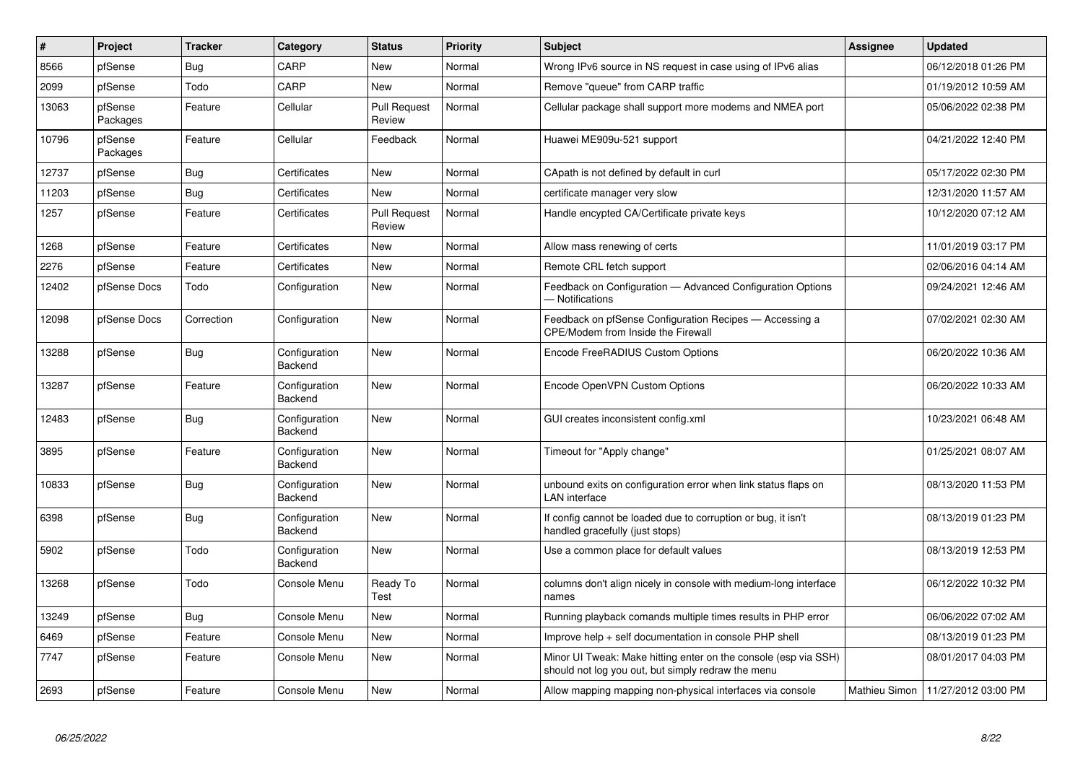| $\sharp$ | Project             | <b>Tracker</b> | Category                 | <b>Status</b>                 | <b>Priority</b> | <b>Subject</b>                                                                                                        | <b>Assignee</b> | <b>Updated</b>                      |
|----------|---------------------|----------------|--------------------------|-------------------------------|-----------------|-----------------------------------------------------------------------------------------------------------------------|-----------------|-------------------------------------|
| 8566     | pfSense             | <b>Bug</b>     | CARP                     | <b>New</b>                    | Normal          | Wrong IPv6 source in NS request in case using of IPv6 alias                                                           |                 | 06/12/2018 01:26 PM                 |
| 2099     | pfSense             | Todo           | CARP                     | <b>New</b>                    | Normal          | Remove "queue" from CARP traffic                                                                                      |                 | 01/19/2012 10:59 AM                 |
| 13063    | pfSense<br>Packages | Feature        | Cellular                 | <b>Pull Request</b><br>Review | Normal          | Cellular package shall support more modems and NMEA port                                                              |                 | 05/06/2022 02:38 PM                 |
| 10796    | pfSense<br>Packages | Feature        | Cellular                 | Feedback                      | Normal          | Huawei ME909u-521 support                                                                                             |                 | 04/21/2022 12:40 PM                 |
| 12737    | pfSense             | Bug            | Certificates             | <b>New</b>                    | Normal          | CApath is not defined by default in curl                                                                              |                 | 05/17/2022 02:30 PM                 |
| 11203    | pfSense             | <b>Bug</b>     | Certificates             | <b>New</b>                    | Normal          | certificate manager very slow                                                                                         |                 | 12/31/2020 11:57 AM                 |
| 1257     | pfSense             | Feature        | Certificates             | <b>Pull Request</b><br>Review | Normal          | Handle encypted CA/Certificate private keys                                                                           |                 | 10/12/2020 07:12 AM                 |
| 1268     | pfSense             | Feature        | Certificates             | <b>New</b>                    | Normal          | Allow mass renewing of certs                                                                                          |                 | 11/01/2019 03:17 PM                 |
| 2276     | pfSense             | Feature        | Certificates             | <b>New</b>                    | Normal          | Remote CRL fetch support                                                                                              |                 | 02/06/2016 04:14 AM                 |
| 12402    | pfSense Docs        | Todo           | Configuration            | New                           | Normal          | Feedback on Configuration - Advanced Configuration Options<br>– Notifications                                         |                 | 09/24/2021 12:46 AM                 |
| 12098    | pfSense Docs        | Correction     | Configuration            | New                           | Normal          | Feedback on pfSense Configuration Recipes — Accessing a<br>CPE/Modem from Inside the Firewall                         |                 | 07/02/2021 02:30 AM                 |
| 13288    | pfSense             | <b>Bug</b>     | Configuration<br>Backend | New                           | Normal          | Encode FreeRADIUS Custom Options                                                                                      |                 | 06/20/2022 10:36 AM                 |
| 13287    | pfSense             | Feature        | Configuration<br>Backend | <b>New</b>                    | Normal          | Encode OpenVPN Custom Options                                                                                         |                 | 06/20/2022 10:33 AM                 |
| 12483    | pfSense             | Bug            | Configuration<br>Backend | <b>New</b>                    | Normal          | GUI creates inconsistent config.xml                                                                                   |                 | 10/23/2021 06:48 AM                 |
| 3895     | pfSense             | Feature        | Configuration<br>Backend | <b>New</b>                    | Normal          | Timeout for "Apply change"                                                                                            |                 | 01/25/2021 08:07 AM                 |
| 10833    | pfSense             | <b>Bug</b>     | Configuration<br>Backend | <b>New</b>                    | Normal          | unbound exits on configuration error when link status flaps on<br><b>LAN</b> interface                                |                 | 08/13/2020 11:53 PM                 |
| 6398     | pfSense             | Bug            | Configuration<br>Backend | New                           | Normal          | If config cannot be loaded due to corruption or bug, it isn't<br>handled gracefully (just stops)                      |                 | 08/13/2019 01:23 PM                 |
| 5902     | pfSense             | Todo           | Configuration<br>Backend | New                           | Normal          | Use a common place for default values                                                                                 |                 | 08/13/2019 12:53 PM                 |
| 13268    | pfSense             | Todo           | Console Menu             | Ready To<br>Test              | Normal          | columns don't align nicely in console with medium-long interface<br>names                                             |                 | 06/12/2022 10:32 PM                 |
| 13249    | pfSense             | Bug            | Console Menu             | New                           | Normal          | Running playback comands multiple times results in PHP error                                                          |                 | 06/06/2022 07:02 AM                 |
| 6469     | pfSense             | Feature        | Console Menu             | New                           | Normal          | Improve help + self documentation in console PHP shell                                                                |                 | 08/13/2019 01:23 PM                 |
| 7747     | pfSense             | Feature        | Console Menu             | New                           | Normal          | Minor UI Tweak: Make hitting enter on the console (esp via SSH)<br>should not log you out, but simply redraw the menu |                 | 08/01/2017 04:03 PM                 |
| 2693     | pfSense             | Feature        | Console Menu             | <b>New</b>                    | Normal          | Allow mapping mapping non-physical interfaces via console                                                             |                 | Mathieu Simon   11/27/2012 03:00 PM |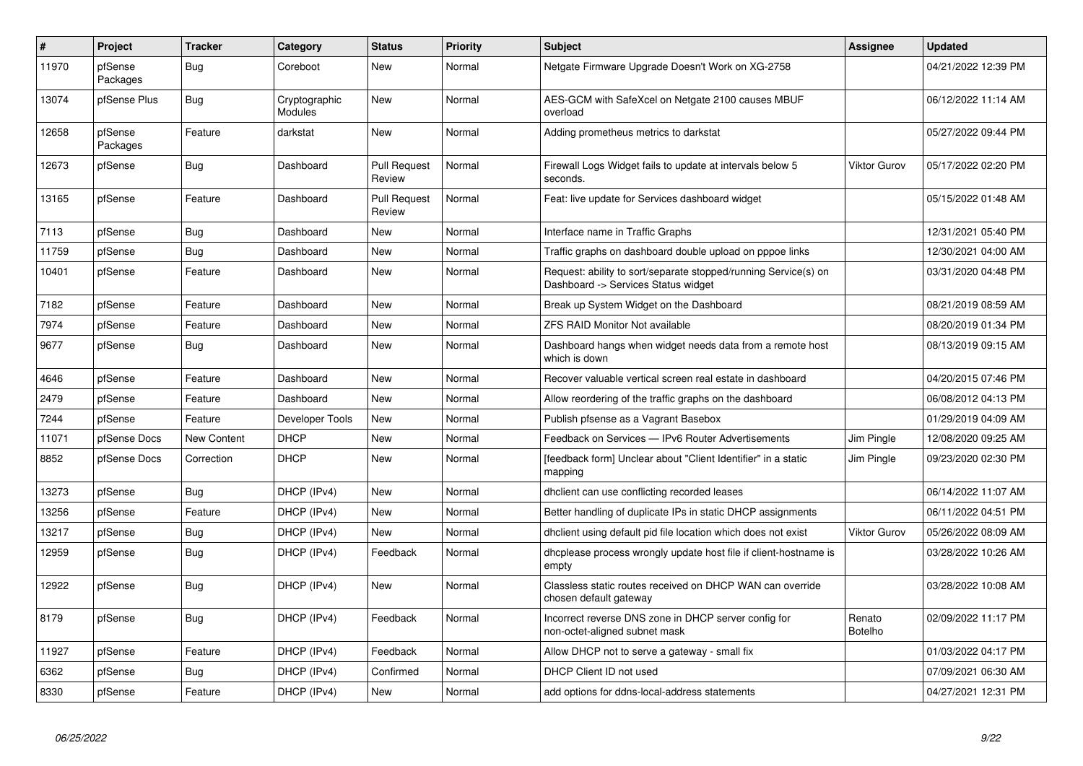| #     | Project             | <b>Tracker</b> | Category                        | <b>Status</b>                 | Priority | <b>Subject</b>                                                                                         | Assignee            | <b>Updated</b>      |
|-------|---------------------|----------------|---------------------------------|-------------------------------|----------|--------------------------------------------------------------------------------------------------------|---------------------|---------------------|
| 11970 | pfSense<br>Packages | Bug            | Coreboot                        | <b>New</b>                    | Normal   | Netgate Firmware Upgrade Doesn't Work on XG-2758                                                       |                     | 04/21/2022 12:39 PM |
| 13074 | pfSense Plus        | Bug            | Cryptographic<br><b>Modules</b> | New                           | Normal   | AES-GCM with SafeXcel on Netgate 2100 causes MBUF<br>overload                                          |                     | 06/12/2022 11:14 AM |
| 12658 | pfSense<br>Packages | Feature        | darkstat                        | <b>New</b>                    | Normal   | Adding prometheus metrics to darkstat                                                                  |                     | 05/27/2022 09:44 PM |
| 12673 | pfSense             | <b>Bug</b>     | Dashboard                       | <b>Pull Request</b><br>Review | Normal   | Firewall Logs Widget fails to update at intervals below 5<br>seconds.                                  | Viktor Gurov        | 05/17/2022 02:20 PM |
| 13165 | pfSense             | Feature        | Dashboard                       | <b>Pull Request</b><br>Review | Normal   | Feat: live update for Services dashboard widget                                                        |                     | 05/15/2022 01:48 AM |
| 7113  | pfSense             | <b>Bug</b>     | Dashboard                       | <b>New</b>                    | Normal   | Interface name in Traffic Graphs                                                                       |                     | 12/31/2021 05:40 PM |
| 11759 | pfSense             | Bug            | Dashboard                       | <b>New</b>                    | Normal   | Traffic graphs on dashboard double upload on pppoe links                                               |                     | 12/30/2021 04:00 AM |
| 10401 | pfSense             | Feature        | Dashboard                       | <b>New</b>                    | Normal   | Request: ability to sort/separate stopped/running Service(s) on<br>Dashboard -> Services Status widget |                     | 03/31/2020 04:48 PM |
| 7182  | pfSense             | Feature        | Dashboard                       | <b>New</b>                    | Normal   | Break up System Widget on the Dashboard                                                                |                     | 08/21/2019 08:59 AM |
| 7974  | pfSense             | Feature        | Dashboard                       | <b>New</b>                    | Normal   | <b>ZFS RAID Monitor Not available</b>                                                                  |                     | 08/20/2019 01:34 PM |
| 9677  | pfSense             | Bug            | Dashboard                       | New                           | Normal   | Dashboard hangs when widget needs data from a remote host<br>which is down                             |                     | 08/13/2019 09:15 AM |
| 4646  | pfSense             | Feature        | Dashboard                       | <b>New</b>                    | Normal   | Recover valuable vertical screen real estate in dashboard                                              |                     | 04/20/2015 07:46 PM |
| 2479  | pfSense             | Feature        | Dashboard                       | New                           | Normal   | Allow reordering of the traffic graphs on the dashboard                                                |                     | 06/08/2012 04:13 PM |
| 7244  | pfSense             | Feature        | Developer Tools                 | New                           | Normal   | Publish pfsense as a Vagrant Basebox                                                                   |                     | 01/29/2019 04:09 AM |
| 11071 | pfSense Docs        | New Content    | <b>DHCP</b>                     | <b>New</b>                    | Normal   | Feedback on Services - IPv6 Router Advertisements                                                      | Jim Pingle          | 12/08/2020 09:25 AM |
| 8852  | pfSense Docs        | Correction     | <b>DHCP</b>                     | <b>New</b>                    | Normal   | [feedback form] Unclear about "Client Identifier" in a static<br>mapping                               | Jim Pingle          | 09/23/2020 02:30 PM |
| 13273 | pfSense             | Bug            | DHCP (IPv4)                     | New                           | Normal   | dhclient can use conflicting recorded leases                                                           |                     | 06/14/2022 11:07 AM |
| 13256 | pfSense             | Feature        | DHCP (IPv4)                     | <b>New</b>                    | Normal   | Better handling of duplicate IPs in static DHCP assignments                                            |                     | 06/11/2022 04:51 PM |
| 13217 | pfSense             | <b>Bug</b>     | DHCP (IPv4)                     | <b>New</b>                    | Normal   | dhclient using default pid file location which does not exist                                          | <b>Viktor Gurov</b> | 05/26/2022 08:09 AM |
| 12959 | pfSense             | <b>Bug</b>     | DHCP (IPv4)                     | Feedback                      | Normal   | dhcplease process wrongly update host file if client-hostname is<br>empty                              |                     | 03/28/2022 10:26 AM |
| 12922 | pfSense             | <b>Bug</b>     | DHCP (IPv4)                     | <b>New</b>                    | Normal   | Classless static routes received on DHCP WAN can override<br>chosen default gateway                    |                     | 03/28/2022 10:08 AM |
| 8179  | pfSense             | <b>Bug</b>     | DHCP (IPv4)                     | Feedback                      | Normal   | Incorrect reverse DNS zone in DHCP server config for<br>non-octet-aligned subnet mask                  | Renato<br>Botelho   | 02/09/2022 11:17 PM |
| 11927 | pfSense             | Feature        | DHCP (IPv4)                     | Feedback                      | Normal   | Allow DHCP not to serve a gateway - small fix                                                          |                     | 01/03/2022 04:17 PM |
| 6362  | pfSense             | Bug            | DHCP (IPv4)                     | Confirmed                     | Normal   | DHCP Client ID not used                                                                                |                     | 07/09/2021 06:30 AM |
| 8330  | pfSense             | Feature        | DHCP (IPv4)                     | New                           | Normal   | add options for ddns-local-address statements                                                          |                     | 04/27/2021 12:31 PM |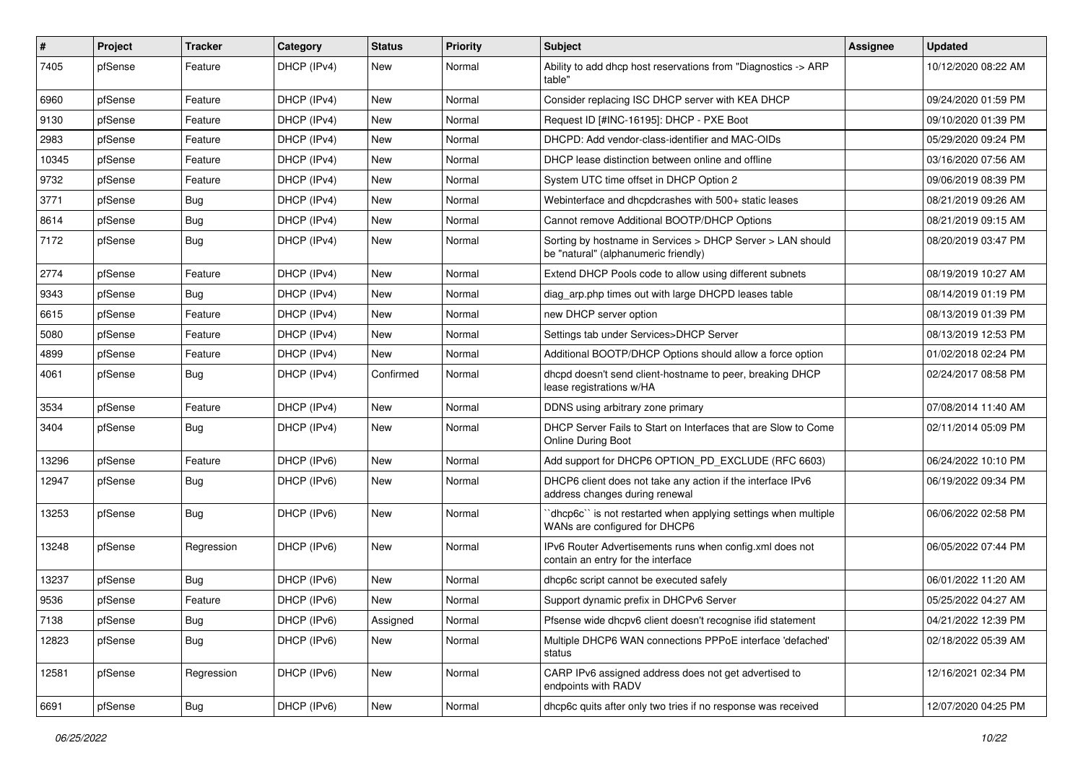| #     | Project | <b>Tracker</b> | Category    | <b>Status</b> | Priority | <b>Subject</b>                                                                                     | <b>Assignee</b> | <b>Updated</b>      |
|-------|---------|----------------|-------------|---------------|----------|----------------------------------------------------------------------------------------------------|-----------------|---------------------|
| 7405  | pfSense | Feature        | DHCP (IPv4) | New           | Normal   | Ability to add dhcp host reservations from "Diagnostics -> ARP<br>table"                           |                 | 10/12/2020 08:22 AM |
| 6960  | pfSense | Feature        | DHCP (IPv4) | New           | Normal   | Consider replacing ISC DHCP server with KEA DHCP                                                   |                 | 09/24/2020 01:59 PM |
| 9130  | pfSense | Feature        | DHCP (IPv4) | New           | Normal   | Request ID [#INC-16195]: DHCP - PXE Boot                                                           |                 | 09/10/2020 01:39 PM |
| 2983  | pfSense | Feature        | DHCP (IPv4) | New           | Normal   | DHCPD: Add vendor-class-identifier and MAC-OIDs                                                    |                 | 05/29/2020 09:24 PM |
| 10345 | pfSense | Feature        | DHCP (IPv4) | New           | Normal   | DHCP lease distinction between online and offline                                                  |                 | 03/16/2020 07:56 AM |
| 9732  | pfSense | Feature        | DHCP (IPv4) | New           | Normal   | System UTC time offset in DHCP Option 2                                                            |                 | 09/06/2019 08:39 PM |
| 3771  | pfSense | <b>Bug</b>     | DHCP (IPv4) | New           | Normal   | Webinterface and dhcpdcrashes with 500+ static leases                                              |                 | 08/21/2019 09:26 AM |
| 8614  | pfSense | Bug            | DHCP (IPv4) | New           | Normal   | Cannot remove Additional BOOTP/DHCP Options                                                        |                 | 08/21/2019 09:15 AM |
| 7172  | pfSense | <b>Bug</b>     | DHCP (IPv4) | New           | Normal   | Sorting by hostname in Services > DHCP Server > LAN should<br>be "natural" (alphanumeric friendly) |                 | 08/20/2019 03:47 PM |
| 2774  | pfSense | Feature        | DHCP (IPv4) | New           | Normal   | Extend DHCP Pools code to allow using different subnets                                            |                 | 08/19/2019 10:27 AM |
| 9343  | pfSense | Bug            | DHCP (IPv4) | <b>New</b>    | Normal   | diag_arp.php times out with large DHCPD leases table                                               |                 | 08/14/2019 01:19 PM |
| 6615  | pfSense | Feature        | DHCP (IPv4) | New           | Normal   | new DHCP server option                                                                             |                 | 08/13/2019 01:39 PM |
| 5080  | pfSense | Feature        | DHCP (IPv4) | New           | Normal   | Settings tab under Services>DHCP Server                                                            |                 | 08/13/2019 12:53 PM |
| 4899  | pfSense | Feature        | DHCP (IPv4) | <b>New</b>    | Normal   | Additional BOOTP/DHCP Options should allow a force option                                          |                 | 01/02/2018 02:24 PM |
| 4061  | pfSense | <b>Bug</b>     | DHCP (IPv4) | Confirmed     | Normal   | dhcpd doesn't send client-hostname to peer, breaking DHCP<br>lease registrations w/HA              |                 | 02/24/2017 08:58 PM |
| 3534  | pfSense | Feature        | DHCP (IPv4) | New           | Normal   | DDNS using arbitrary zone primary                                                                  |                 | 07/08/2014 11:40 AM |
| 3404  | pfSense | <b>Bug</b>     | DHCP (IPv4) | New           | Normal   | DHCP Server Fails to Start on Interfaces that are Slow to Come<br>Online During Boot               |                 | 02/11/2014 05:09 PM |
| 13296 | pfSense | Feature        | DHCP (IPv6) | <b>New</b>    | Normal   | Add support for DHCP6 OPTION_PD_EXCLUDE (RFC 6603)                                                 |                 | 06/24/2022 10:10 PM |
| 12947 | pfSense | Bug            | DHCP (IPv6) | New           | Normal   | DHCP6 client does not take any action if the interface IPv6<br>address changes during renewal      |                 | 06/19/2022 09:34 PM |
| 13253 | pfSense | <b>Bug</b>     | DHCP (IPv6) | <b>New</b>    | Normal   | 'dhcp6c' is not restarted when applying settings when multiple<br>WANs are configured for DHCP6    |                 | 06/06/2022 02:58 PM |
| 13248 | pfSense | Regression     | DHCP (IPv6) | New           | Normal   | IPv6 Router Advertisements runs when config.xml does not<br>contain an entry for the interface     |                 | 06/05/2022 07:44 PM |
| 13237 | pfSense | <b>Bug</b>     | DHCP (IPv6) | <b>New</b>    | Normal   | dhcp6c script cannot be executed safely                                                            |                 | 06/01/2022 11:20 AM |
| 9536  | pfSense | Feature        | DHCP (IPv6) | New           | Normal   | Support dynamic prefix in DHCPv6 Server                                                            |                 | 05/25/2022 04:27 AM |
| 7138  | pfSense | <b>Bug</b>     | DHCP (IPv6) | Assigned      | Normal   | Pfsense wide dhcpv6 client doesn't recognise ifid statement                                        |                 | 04/21/2022 12:39 PM |
| 12823 | pfSense | Bug            | DHCP (IPv6) | New           | Normal   | Multiple DHCP6 WAN connections PPPoE interface 'defached'<br>status                                |                 | 02/18/2022 05:39 AM |
| 12581 | pfSense | Regression     | DHCP (IPv6) | New           | Normal   | CARP IPv6 assigned address does not get advertised to<br>endpoints with RADV                       |                 | 12/16/2021 02:34 PM |
| 6691  | pfSense | Bug            | DHCP (IPv6) | New           | Normal   | dhcp6c quits after only two tries if no response was received                                      |                 | 12/07/2020 04:25 PM |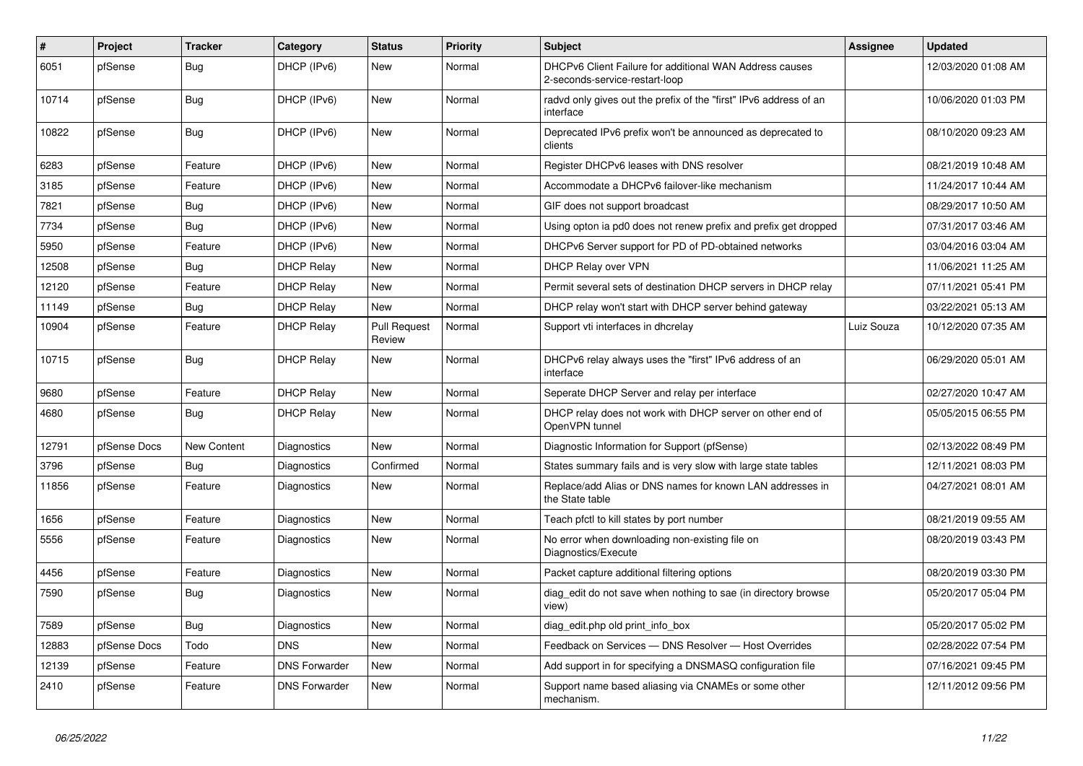| #     | Project      | <b>Tracker</b> | Category             | <b>Status</b>                 | Priority | Subject                                                                                   | <b>Assignee</b> | <b>Updated</b>      |
|-------|--------------|----------------|----------------------|-------------------------------|----------|-------------------------------------------------------------------------------------------|-----------------|---------------------|
| 6051  | pfSense      | <b>Bug</b>     | DHCP (IPv6)          | <b>New</b>                    | Normal   | DHCPv6 Client Failure for additional WAN Address causes<br>2-seconds-service-restart-loop |                 | 12/03/2020 01:08 AM |
| 10714 | pfSense      | <b>Bug</b>     | DHCP (IPv6)          | New                           | Normal   | radyd only gives out the prefix of the "first" IPv6 address of an<br>interface            |                 | 10/06/2020 01:03 PM |
| 10822 | pfSense      | Bug            | DHCP (IPv6)          | <b>New</b>                    | Normal   | Deprecated IPv6 prefix won't be announced as deprecated to<br>clients                     |                 | 08/10/2020 09:23 AM |
| 6283  | pfSense      | Feature        | DHCP (IPv6)          | <b>New</b>                    | Normal   | Register DHCPv6 leases with DNS resolver                                                  |                 | 08/21/2019 10:48 AM |
| 3185  | pfSense      | Feature        | DHCP (IPv6)          | <b>New</b>                    | Normal   | Accommodate a DHCPv6 failover-like mechanism                                              |                 | 11/24/2017 10:44 AM |
| 7821  | pfSense      | <b>Bug</b>     | DHCP (IPv6)          | <b>New</b>                    | Normal   | GIF does not support broadcast                                                            |                 | 08/29/2017 10:50 AM |
| 7734  | pfSense      | Bug            | DHCP (IPv6)          | <b>New</b>                    | Normal   | Using opton ia pd0 does not renew prefix and prefix get dropped                           |                 | 07/31/2017 03:46 AM |
| 5950  | pfSense      | Feature        | DHCP (IPv6)          | <b>New</b>                    | Normal   | DHCPv6 Server support for PD of PD-obtained networks                                      |                 | 03/04/2016 03:04 AM |
| 12508 | pfSense      | <b>Bug</b>     | <b>DHCP Relay</b>    | New                           | Normal   | <b>DHCP Relay over VPN</b>                                                                |                 | 11/06/2021 11:25 AM |
| 12120 | pfSense      | Feature        | <b>DHCP Relay</b>    | <b>New</b>                    | Normal   | Permit several sets of destination DHCP servers in DHCP relay                             |                 | 07/11/2021 05:41 PM |
| 11149 | pfSense      | <b>Bug</b>     | <b>DHCP Relay</b>    | New                           | Normal   | DHCP relay won't start with DHCP server behind gateway                                    |                 | 03/22/2021 05:13 AM |
| 10904 | pfSense      | Feature        | <b>DHCP Relay</b>    | <b>Pull Request</b><br>Review | Normal   | Support vti interfaces in dhcrelay                                                        | Luiz Souza      | 10/12/2020 07:35 AM |
| 10715 | pfSense      | Bug            | <b>DHCP Relay</b>    | New                           | Normal   | DHCPv6 relay always uses the "first" IPv6 address of an<br>interface                      |                 | 06/29/2020 05:01 AM |
| 9680  | pfSense      | Feature        | <b>DHCP Relay</b>    | <b>New</b>                    | Normal   | Seperate DHCP Server and relay per interface                                              |                 | 02/27/2020 10:47 AM |
| 4680  | pfSense      | <b>Bug</b>     | <b>DHCP Relay</b>    | <b>New</b>                    | Normal   | DHCP relay does not work with DHCP server on other end of<br>OpenVPN tunnel               |                 | 05/05/2015 06:55 PM |
| 12791 | pfSense Docs | New Content    | Diagnostics          | <b>New</b>                    | Normal   | Diagnostic Information for Support (pfSense)                                              |                 | 02/13/2022 08:49 PM |
| 3796  | pfSense      | <b>Bug</b>     | Diagnostics          | Confirmed                     | Normal   | States summary fails and is very slow with large state tables                             |                 | 12/11/2021 08:03 PM |
| 11856 | pfSense      | Feature        | Diagnostics          | New                           | Normal   | Replace/add Alias or DNS names for known LAN addresses in<br>the State table              |                 | 04/27/2021 08:01 AM |
| 1656  | pfSense      | Feature        | Diagnostics          | <b>New</b>                    | Normal   | Teach pfctl to kill states by port number                                                 |                 | 08/21/2019 09:55 AM |
| 5556  | pfSense      | Feature        | Diagnostics          | New                           | Normal   | No error when downloading non-existing file on<br>Diagnostics/Execute                     |                 | 08/20/2019 03:43 PM |
| 4456  | pfSense      | Feature        | Diagnostics          | <b>New</b>                    | Normal   | Packet capture additional filtering options                                               |                 | 08/20/2019 03:30 PM |
| 7590  | pfSense      | <b>Bug</b>     | Diagnostics          | <b>New</b>                    | Normal   | diag edit do not save when nothing to sae (in directory browse<br>view)                   |                 | 05/20/2017 05:04 PM |
| 7589  | pfSense      | <b>Bug</b>     | Diagnostics          | <b>New</b>                    | Normal   | diag_edit.php old print_info_box                                                          |                 | 05/20/2017 05:02 PM |
| 12883 | pfSense Docs | Todo           | <b>DNS</b>           | <b>New</b>                    | Normal   | Feedback on Services - DNS Resolver - Host Overrides                                      |                 | 02/28/2022 07:54 PM |
| 12139 | pfSense      | Feature        | <b>DNS Forwarder</b> | New                           | Normal   | Add support in for specifying a DNSMASQ configuration file                                |                 | 07/16/2021 09:45 PM |
| 2410  | pfSense      | Feature        | <b>DNS Forwarder</b> | New                           | Normal   | Support name based aliasing via CNAMEs or some other<br>mechanism.                        |                 | 12/11/2012 09:56 PM |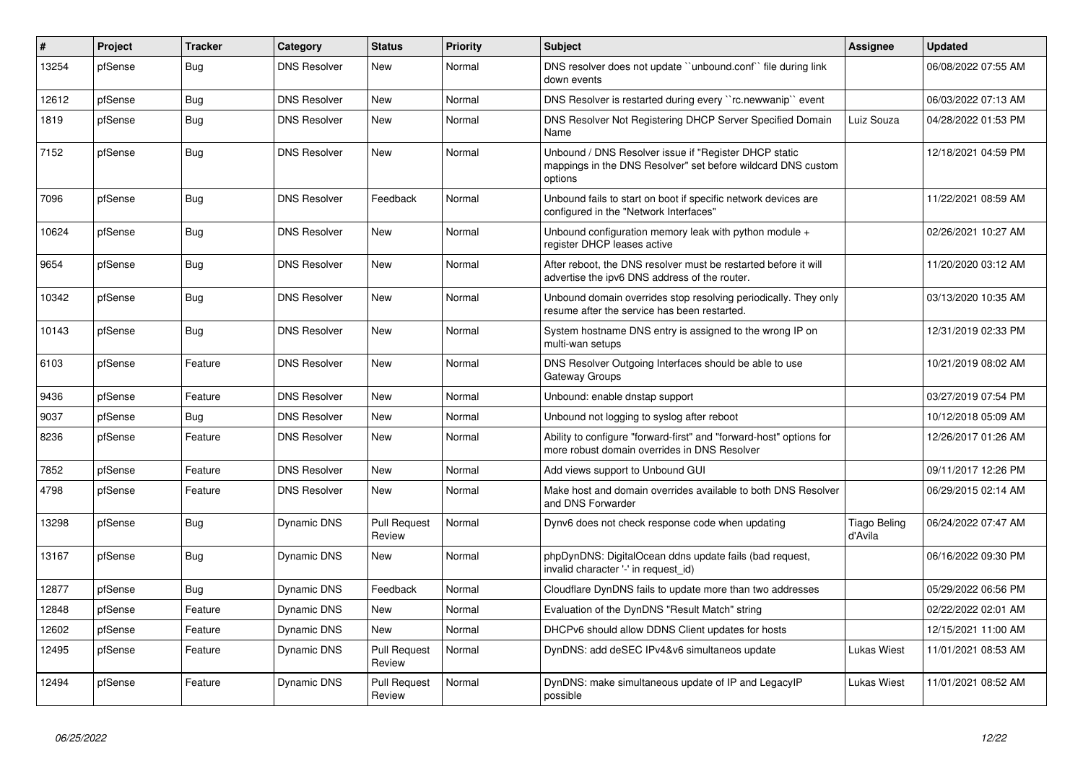| $\vert$ # | <b>Project</b> | <b>Tracker</b> | Category            | <b>Status</b>                 | Priority | <b>Subject</b>                                                                                                                   | <b>Assignee</b>         | <b>Updated</b>      |
|-----------|----------------|----------------|---------------------|-------------------------------|----------|----------------------------------------------------------------------------------------------------------------------------------|-------------------------|---------------------|
| 13254     | pfSense        | <b>Bug</b>     | <b>DNS Resolver</b> | <b>New</b>                    | Normal   | DNS resolver does not update "unbound.conf" file during link<br>down events                                                      |                         | 06/08/2022 07:55 AM |
| 12612     | pfSense        | <b>Bug</b>     | <b>DNS Resolver</b> | New                           | Normal   | DNS Resolver is restarted during every "rc.newwanip" event                                                                       |                         | 06/03/2022 07:13 AM |
| 1819      | pfSense        | <b>Bug</b>     | <b>DNS Resolver</b> | <b>New</b>                    | Normal   | DNS Resolver Not Registering DHCP Server Specified Domain<br>Name                                                                | Luiz Souza              | 04/28/2022 01:53 PM |
| 7152      | pfSense        | Bug            | <b>DNS Resolver</b> | New                           | Normal   | Unbound / DNS Resolver issue if "Register DHCP static<br>mappings in the DNS Resolver" set before wildcard DNS custom<br>options |                         | 12/18/2021 04:59 PM |
| 7096      | pfSense        | Bug            | <b>DNS Resolver</b> | Feedback                      | Normal   | Unbound fails to start on boot if specific network devices are<br>configured in the "Network Interfaces"                         |                         | 11/22/2021 08:59 AM |
| 10624     | pfSense        | Bug            | <b>DNS Resolver</b> | New                           | Normal   | Unbound configuration memory leak with python module $+$<br>register DHCP leases active                                          |                         | 02/26/2021 10:27 AM |
| 9654      | pfSense        | <b>Bug</b>     | <b>DNS Resolver</b> | <b>New</b>                    | Normal   | After reboot, the DNS resolver must be restarted before it will<br>advertise the ipv6 DNS address of the router.                 |                         | 11/20/2020 03:12 AM |
| 10342     | pfSense        | Bug            | <b>DNS Resolver</b> | <b>New</b>                    | Normal   | Unbound domain overrides stop resolving periodically. They only<br>resume after the service has been restarted.                  |                         | 03/13/2020 10:35 AM |
| 10143     | pfSense        | Bug            | <b>DNS Resolver</b> | <b>New</b>                    | Normal   | System hostname DNS entry is assigned to the wrong IP on<br>multi-wan setups                                                     |                         | 12/31/2019 02:33 PM |
| 6103      | pfSense        | Feature        | <b>DNS Resolver</b> | New                           | Normal   | DNS Resolver Outgoing Interfaces should be able to use<br>Gateway Groups                                                         |                         | 10/21/2019 08:02 AM |
| 9436      | pfSense        | Feature        | <b>DNS Resolver</b> | <b>New</b>                    | Normal   | Unbound: enable dnstap support                                                                                                   |                         | 03/27/2019 07:54 PM |
| 9037      | pfSense        | Bug            | <b>DNS Resolver</b> | New                           | Normal   | Unbound not logging to syslog after reboot                                                                                       |                         | 10/12/2018 05:09 AM |
| 8236      | pfSense        | Feature        | <b>DNS Resolver</b> | New                           | Normal   | Ability to configure "forward-first" and "forward-host" options for<br>more robust domain overrides in DNS Resolver              |                         | 12/26/2017 01:26 AM |
| 7852      | pfSense        | Feature        | <b>DNS Resolver</b> | <b>New</b>                    | Normal   | Add views support to Unbound GUI                                                                                                 |                         | 09/11/2017 12:26 PM |
| 4798      | pfSense        | Feature        | <b>DNS Resolver</b> | <b>New</b>                    | Normal   | Make host and domain overrides available to both DNS Resolver<br>and DNS Forwarder                                               |                         | 06/29/2015 02:14 AM |
| 13298     | pfSense        | <b>Bug</b>     | <b>Dynamic DNS</b>  | <b>Pull Request</b><br>Review | Normal   | Dynv6 does not check response code when updating                                                                                 | Tiago Beling<br>d'Avila | 06/24/2022 07:47 AM |
| 13167     | pfSense        | Bug            | Dynamic DNS         | New                           | Normal   | phpDynDNS: DigitalOcean ddns update fails (bad request,<br>invalid character '-' in request id)                                  |                         | 06/16/2022 09:30 PM |
| 12877     | pfSense        | <b>Bug</b>     | <b>Dynamic DNS</b>  | Feedback                      | Normal   | Cloudflare DynDNS fails to update more than two addresses                                                                        |                         | 05/29/2022 06:56 PM |
| 12848     | pfSense        | Feature        | <b>Dynamic DNS</b>  | New                           | Normal   | Evaluation of the DynDNS "Result Match" string                                                                                   |                         | 02/22/2022 02:01 AM |
| 12602     | pfSense        | Feature        | Dynamic DNS         | New                           | Normal   | DHCPv6 should allow DDNS Client updates for hosts                                                                                |                         | 12/15/2021 11:00 AM |
| 12495     | pfSense        | Feature        | Dynamic DNS         | <b>Pull Request</b><br>Review | Normal   | DynDNS: add deSEC IPv4&v6 simultaneos update                                                                                     | Lukas Wiest             | 11/01/2021 08:53 AM |
| 12494     | pfSense        | Feature        | <b>Dynamic DNS</b>  | <b>Pull Request</b><br>Review | Normal   | DynDNS: make simultaneous update of IP and LegacyIP<br>possible                                                                  | Lukas Wiest             | 11/01/2021 08:52 AM |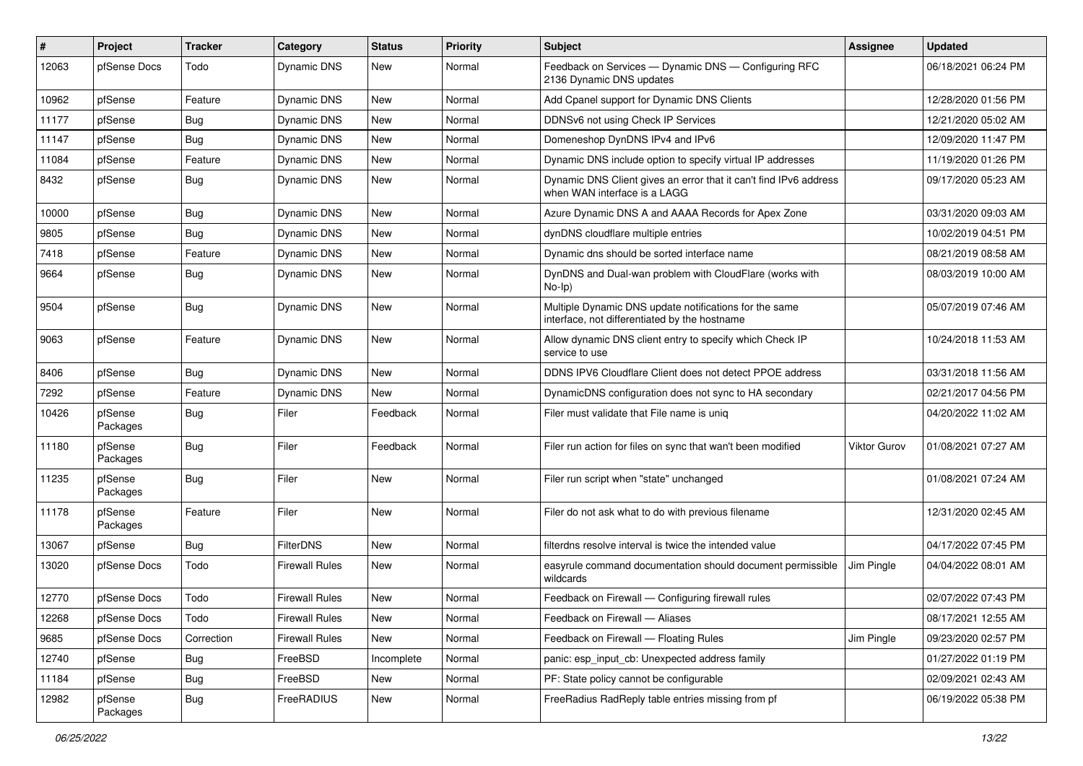| #     | Project             | <b>Tracker</b> | Category              | <b>Status</b> | Priority | <b>Subject</b>                                                                                          | <b>Assignee</b> | <b>Updated</b>      |
|-------|---------------------|----------------|-----------------------|---------------|----------|---------------------------------------------------------------------------------------------------------|-----------------|---------------------|
| 12063 | pfSense Docs        | Todo           | Dynamic DNS           | New           | Normal   | Feedback on Services - Dynamic DNS - Configuring RFC<br>2136 Dynamic DNS updates                        |                 | 06/18/2021 06:24 PM |
| 10962 | pfSense             | Feature        | Dynamic DNS           | <b>New</b>    | Normal   | Add Cpanel support for Dynamic DNS Clients                                                              |                 | 12/28/2020 01:56 PM |
| 11177 | pfSense             | Bug            | <b>Dynamic DNS</b>    | New           | Normal   | DDNSv6 not using Check IP Services                                                                      |                 | 12/21/2020 05:02 AM |
| 11147 | pfSense             | <b>Bug</b>     | Dynamic DNS           | <b>New</b>    | Normal   | Domeneshop DynDNS IPv4 and IPv6                                                                         |                 | 12/09/2020 11:47 PM |
| 11084 | pfSense             | Feature        | <b>Dynamic DNS</b>    | New           | Normal   | Dynamic DNS include option to specify virtual IP addresses                                              |                 | 11/19/2020 01:26 PM |
| 8432  | pfSense             | Bug            | Dynamic DNS           | New           | Normal   | Dynamic DNS Client gives an error that it can't find IPv6 address<br>when WAN interface is a LAGG       |                 | 09/17/2020 05:23 AM |
| 10000 | pfSense             | <b>Bug</b>     | Dynamic DNS           | New           | Normal   | Azure Dynamic DNS A and AAAA Records for Apex Zone                                                      |                 | 03/31/2020 09:03 AM |
| 9805  | pfSense             | <b>Bug</b>     | <b>Dynamic DNS</b>    | New           | Normal   | dynDNS cloudflare multiple entries                                                                      |                 | 10/02/2019 04:51 PM |
| 7418  | pfSense             | Feature        | Dynamic DNS           | New           | Normal   | Dynamic dns should be sorted interface name                                                             |                 | 08/21/2019 08:58 AM |
| 9664  | pfSense             | Bug            | <b>Dynamic DNS</b>    | <b>New</b>    | Normal   | DynDNS and Dual-wan problem with CloudFlare (works with<br>$No-Ip)$                                     |                 | 08/03/2019 10:00 AM |
| 9504  | pfSense             | Bug            | Dynamic DNS           | New           | Normal   | Multiple Dynamic DNS update notifications for the same<br>interface, not differentiated by the hostname |                 | 05/07/2019 07:46 AM |
| 9063  | pfSense             | Feature        | <b>Dynamic DNS</b>    | <b>New</b>    | Normal   | Allow dynamic DNS client entry to specify which Check IP<br>service to use                              |                 | 10/24/2018 11:53 AM |
| 8406  | pfSense             | Bug            | <b>Dynamic DNS</b>    | <b>New</b>    | Normal   | DDNS IPV6 Cloudflare Client does not detect PPOE address                                                |                 | 03/31/2018 11:56 AM |
| 7292  | pfSense             | Feature        | <b>Dynamic DNS</b>    | <b>New</b>    | Normal   | DynamicDNS configuration does not sync to HA secondary                                                  |                 | 02/21/2017 04:56 PM |
| 10426 | pfSense<br>Packages | Bug            | Filer                 | Feedback      | Normal   | Filer must validate that File name is uniq                                                              |                 | 04/20/2022 11:02 AM |
| 11180 | pfSense<br>Packages | Bug            | Filer                 | Feedback      | Normal   | Filer run action for files on sync that wan't been modified                                             | Viktor Gurov    | 01/08/2021 07:27 AM |
| 11235 | pfSense<br>Packages | Bug            | Filer                 | <b>New</b>    | Normal   | Filer run script when "state" unchanged                                                                 |                 | 01/08/2021 07:24 AM |
| 11178 | pfSense<br>Packages | Feature        | Filer                 | New           | Normal   | Filer do not ask what to do with previous filename                                                      |                 | 12/31/2020 02:45 AM |
| 13067 | pfSense             | Bug            | FilterDNS             | <b>New</b>    | Normal   | filterdns resolve interval is twice the intended value                                                  |                 | 04/17/2022 07:45 PM |
| 13020 | pfSense Docs        | Todo           | <b>Firewall Rules</b> | New           | Normal   | easyrule command documentation should document permissible<br>wildcards                                 | Jim Pingle      | 04/04/2022 08:01 AM |
| 12770 | pfSense Docs        | Todo           | <b>Firewall Rules</b> | <b>New</b>    | Normal   | Feedback on Firewall — Configuring firewall rules                                                       |                 | 02/07/2022 07:43 PM |
| 12268 | pfSense Docs        | Todo           | <b>Firewall Rules</b> | New           | Normal   | Feedback on Firewall - Aliases                                                                          |                 | 08/17/2021 12:55 AM |
| 9685  | pfSense Docs        | Correction     | <b>Firewall Rules</b> | New           | Normal   | Feedback on Firewall - Floating Rules                                                                   | Jim Pingle      | 09/23/2020 02:57 PM |
| 12740 | pfSense             | <b>Bug</b>     | FreeBSD               | Incomplete    | Normal   | panic: esp_input_cb: Unexpected address family                                                          |                 | 01/27/2022 01:19 PM |
| 11184 | pfSense             | Bug            | FreeBSD               | New           | Normal   | PF: State policy cannot be configurable                                                                 |                 | 02/09/2021 02:43 AM |
| 12982 | pfSense<br>Packages | Bug            | FreeRADIUS            | New           | Normal   | FreeRadius RadReply table entries missing from pf                                                       |                 | 06/19/2022 05:38 PM |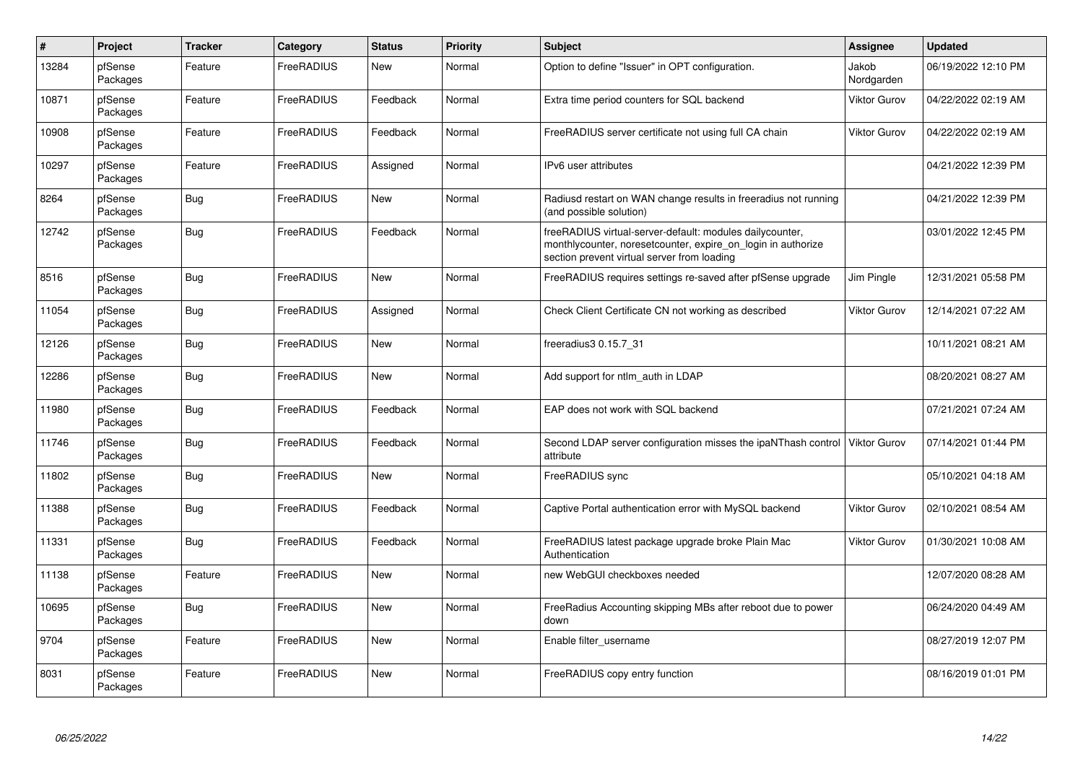| $\pmb{\#}$ | Project             | <b>Tracker</b> | Category          | <b>Status</b> | <b>Priority</b> | <b>Subject</b>                                                                                                                                                          | <b>Assignee</b>     | <b>Updated</b>      |
|------------|---------------------|----------------|-------------------|---------------|-----------------|-------------------------------------------------------------------------------------------------------------------------------------------------------------------------|---------------------|---------------------|
| 13284      | pfSense<br>Packages | Feature        | FreeRADIUS        | New           | Normal          | Option to define "Issuer" in OPT configuration.                                                                                                                         | Jakob<br>Nordgarden | 06/19/2022 12:10 PM |
| 10871      | pfSense<br>Packages | Feature        | FreeRADIUS        | Feedback      | Normal          | Extra time period counters for SQL backend                                                                                                                              | <b>Viktor Gurov</b> | 04/22/2022 02:19 AM |
| 10908      | pfSense<br>Packages | Feature        | FreeRADIUS        | Feedback      | Normal          | FreeRADIUS server certificate not using full CA chain                                                                                                                   | Viktor Gurov        | 04/22/2022 02:19 AM |
| 10297      | pfSense<br>Packages | Feature        | <b>FreeRADIUS</b> | Assigned      | Normal          | IPv6 user attributes                                                                                                                                                    |                     | 04/21/2022 12:39 PM |
| 8264       | pfSense<br>Packages | <b>Bug</b>     | FreeRADIUS        | New           | Normal          | Radiusd restart on WAN change results in freeradius not running<br>(and possible solution)                                                                              |                     | 04/21/2022 12:39 PM |
| 12742      | pfSense<br>Packages | <b>Bug</b>     | FreeRADIUS        | Feedback      | Normal          | freeRADIUS virtual-server-default: modules dailycounter,<br>monthlycounter, noresetcounter, expire_on_login in authorize<br>section prevent virtual server from loading |                     | 03/01/2022 12:45 PM |
| 8516       | pfSense<br>Packages | <b>Bug</b>     | FreeRADIUS        | <b>New</b>    | Normal          | FreeRADIUS requires settings re-saved after pfSense upgrade                                                                                                             | Jim Pingle          | 12/31/2021 05:58 PM |
| 11054      | pfSense<br>Packages | <b>Bug</b>     | FreeRADIUS        | Assigned      | Normal          | Check Client Certificate CN not working as described                                                                                                                    | <b>Viktor Gurov</b> | 12/14/2021 07:22 AM |
| 12126      | pfSense<br>Packages | <b>Bug</b>     | FreeRADIUS        | <b>New</b>    | Normal          | freeradius3 0.15.7 31                                                                                                                                                   |                     | 10/11/2021 08:21 AM |
| 12286      | pfSense<br>Packages | Bug            | FreeRADIUS        | <b>New</b>    | Normal          | Add support for ntlm auth in LDAP                                                                                                                                       |                     | 08/20/2021 08:27 AM |
| 11980      | pfSense<br>Packages | <b>Bug</b>     | FreeRADIUS        | Feedback      | Normal          | EAP does not work with SQL backend                                                                                                                                      |                     | 07/21/2021 07:24 AM |
| 11746      | pfSense<br>Packages | <b>Bug</b>     | FreeRADIUS        | Feedback      | Normal          | Second LDAP server configuration misses the ipaNThash control<br>attribute                                                                                              | <b>Viktor Gurov</b> | 07/14/2021 01:44 PM |
| 11802      | pfSense<br>Packages | <b>Bug</b>     | FreeRADIUS        | <b>New</b>    | Normal          | FreeRADIUS sync                                                                                                                                                         |                     | 05/10/2021 04:18 AM |
| 11388      | pfSense<br>Packages | Bug            | FreeRADIUS        | Feedback      | Normal          | Captive Portal authentication error with MySQL backend                                                                                                                  | <b>Viktor Gurov</b> | 02/10/2021 08:54 AM |
| 11331      | pfSense<br>Packages | <b>Bug</b>     | FreeRADIUS        | Feedback      | Normal          | FreeRADIUS latest package upgrade broke Plain Mac<br>Authentication                                                                                                     | Viktor Gurov        | 01/30/2021 10:08 AM |
| 11138      | pfSense<br>Packages | Feature        | FreeRADIUS        | New           | Normal          | new WebGUI checkboxes needed                                                                                                                                            |                     | 12/07/2020 08:28 AM |
| 10695      | pfSense<br>Packages | <b>Bug</b>     | FreeRADIUS        | New           | Normal          | FreeRadius Accounting skipping MBs after reboot due to power<br>down                                                                                                    |                     | 06/24/2020 04:49 AM |
| 9704       | pfSense<br>Packages | Feature        | FreeRADIUS        | New           | Normal          | Enable filter username                                                                                                                                                  |                     | 08/27/2019 12:07 PM |
| 8031       | pfSense<br>Packages | Feature        | FreeRADIUS        | <b>New</b>    | Normal          | FreeRADIUS copy entry function                                                                                                                                          |                     | 08/16/2019 01:01 PM |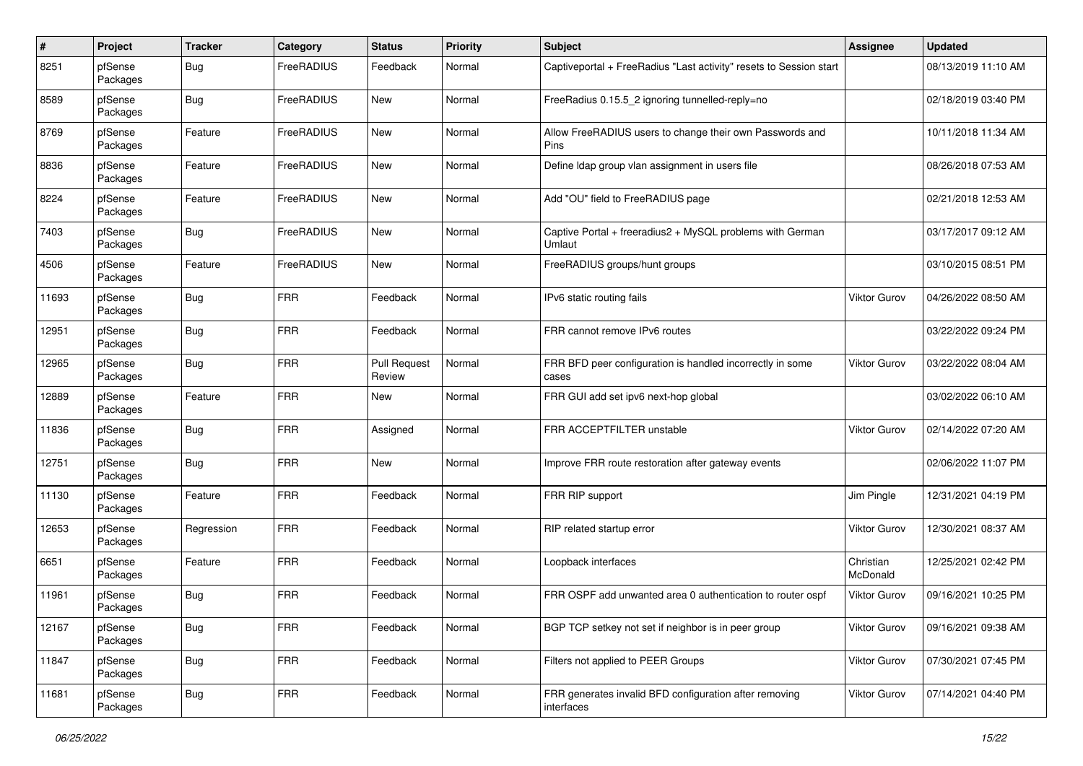| $\sharp$ | Project             | <b>Tracker</b> | Category   | <b>Status</b>                 | <b>Priority</b> | Subject                                                              | <b>Assignee</b>       | <b>Updated</b>      |
|----------|---------------------|----------------|------------|-------------------------------|-----------------|----------------------------------------------------------------------|-----------------------|---------------------|
| 8251     | pfSense<br>Packages | <b>Bug</b>     | FreeRADIUS | Feedback                      | Normal          | Captiveportal + FreeRadius "Last activity" resets to Session start   |                       | 08/13/2019 11:10 AM |
| 8589     | pfSense<br>Packages | <b>Bug</b>     | FreeRADIUS | New                           | Normal          | FreeRadius 0.15.5_2 ignoring tunnelled-reply=no                      |                       | 02/18/2019 03:40 PM |
| 8769     | pfSense<br>Packages | Feature        | FreeRADIUS | <b>New</b>                    | Normal          | Allow FreeRADIUS users to change their own Passwords and<br>Pins     |                       | 10/11/2018 11:34 AM |
| 8836     | pfSense<br>Packages | Feature        | FreeRADIUS | New                           | Normal          | Define Idap group vlan assignment in users file                      |                       | 08/26/2018 07:53 AM |
| 8224     | pfSense<br>Packages | Feature        | FreeRADIUS | <b>New</b>                    | Normal          | Add "OU" field to FreeRADIUS page                                    |                       | 02/21/2018 12:53 AM |
| 7403     | pfSense<br>Packages | <b>Bug</b>     | FreeRADIUS | <b>New</b>                    | Normal          | Captive Portal + freeradius2 + MySQL problems with German<br>Umlaut  |                       | 03/17/2017 09:12 AM |
| 4506     | pfSense<br>Packages | Feature        | FreeRADIUS | <b>New</b>                    | Normal          | FreeRADIUS groups/hunt groups                                        |                       | 03/10/2015 08:51 PM |
| 11693    | pfSense<br>Packages | <b>Bug</b>     | <b>FRR</b> | Feedback                      | Normal          | IPv6 static routing fails                                            | <b>Viktor Gurov</b>   | 04/26/2022 08:50 AM |
| 12951    | pfSense<br>Packages | <b>Bug</b>     | <b>FRR</b> | Feedback                      | Normal          | FRR cannot remove IPv6 routes                                        |                       | 03/22/2022 09:24 PM |
| 12965    | pfSense<br>Packages | <b>Bug</b>     | <b>FRR</b> | <b>Pull Request</b><br>Review | Normal          | FRR BFD peer configuration is handled incorrectly in some<br>cases   | Viktor Gurov          | 03/22/2022 08:04 AM |
| 12889    | pfSense<br>Packages | Feature        | <b>FRR</b> | New                           | Normal          | FRR GUI add set ipv6 next-hop global                                 |                       | 03/02/2022 06:10 AM |
| 11836    | pfSense<br>Packages | <b>Bug</b>     | <b>FRR</b> | Assigned                      | Normal          | FRR ACCEPTFILTER unstable                                            | Viktor Gurov          | 02/14/2022 07:20 AM |
| 12751    | pfSense<br>Packages | <b>Bug</b>     | <b>FRR</b> | New                           | Normal          | Improve FRR route restoration after gateway events                   |                       | 02/06/2022 11:07 PM |
| 11130    | pfSense<br>Packages | Feature        | <b>FRR</b> | Feedback                      | Normal          | FRR RIP support                                                      | Jim Pingle            | 12/31/2021 04:19 PM |
| 12653    | pfSense<br>Packages | Regression     | <b>FRR</b> | Feedback                      | Normal          | RIP related startup error                                            | <b>Viktor Gurov</b>   | 12/30/2021 08:37 AM |
| 6651     | pfSense<br>Packages | Feature        | <b>FRR</b> | Feedback                      | Normal          | Loopback interfaces                                                  | Christian<br>McDonald | 12/25/2021 02:42 PM |
| 11961    | pfSense<br>Packages | <b>Bug</b>     | <b>FRR</b> | Feedback                      | Normal          | FRR OSPF add unwanted area 0 authentication to router ospf           | Viktor Gurov          | 09/16/2021 10:25 PM |
| 12167    | pfSense<br>Packages | <b>Bug</b>     | <b>FRR</b> | Feedback                      | Normal          | BGP TCP setkey not set if neighbor is in peer group                  | Viktor Gurov          | 09/16/2021 09:38 AM |
| 11847    | pfSense<br>Packages | Bug            | <b>FRR</b> | Feedback                      | Normal          | Filters not applied to PEER Groups                                   | Viktor Gurov          | 07/30/2021 07:45 PM |
| 11681    | pfSense<br>Packages | <b>Bug</b>     | <b>FRR</b> | Feedback                      | Normal          | FRR generates invalid BFD configuration after removing<br>interfaces | Viktor Gurov          | 07/14/2021 04:40 PM |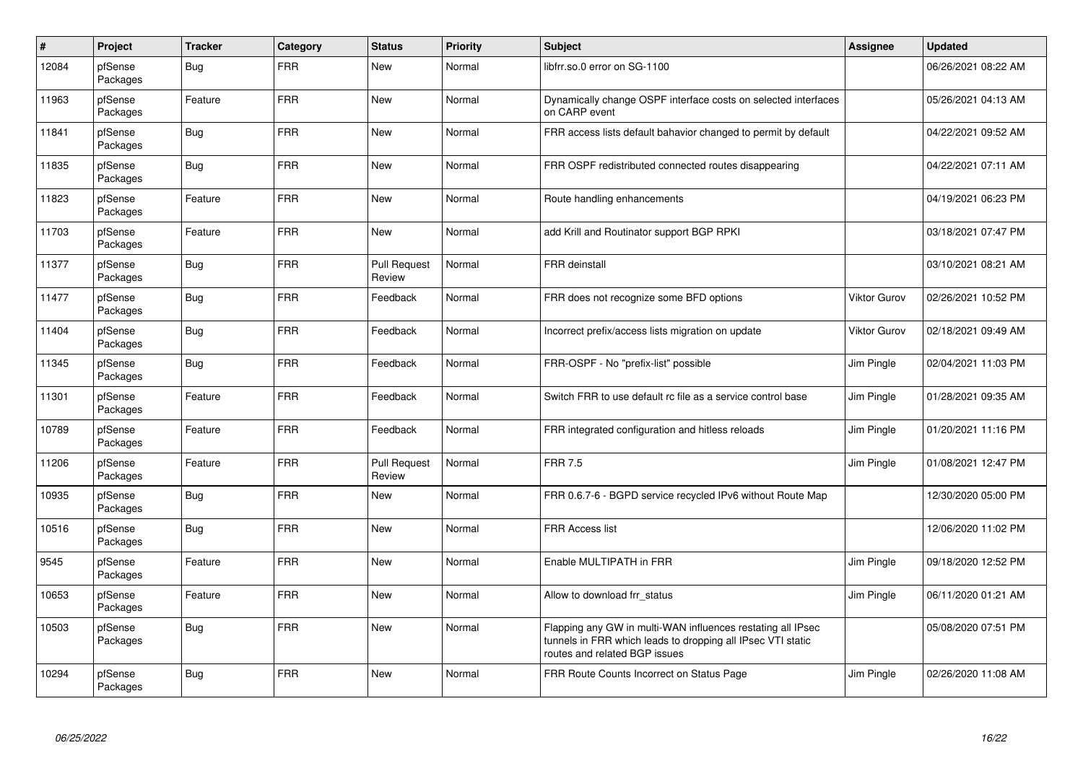| $\vert$ # | Project             | <b>Tracker</b> | Category   | <b>Status</b>                 | Priority | <b>Subject</b>                                                                                                                                              | Assignee     | <b>Updated</b>      |
|-----------|---------------------|----------------|------------|-------------------------------|----------|-------------------------------------------------------------------------------------------------------------------------------------------------------------|--------------|---------------------|
| 12084     | pfSense<br>Packages | Bug            | <b>FRR</b> | <b>New</b>                    | Normal   | libfrr.so.0 error on SG-1100                                                                                                                                |              | 06/26/2021 08:22 AM |
| 11963     | pfSense<br>Packages | Feature        | <b>FRR</b> | New                           | Normal   | Dynamically change OSPF interface costs on selected interfaces<br>on CARP event                                                                             |              | 05/26/2021 04:13 AM |
| 11841     | pfSense<br>Packages | <b>Bug</b>     | <b>FRR</b> | <b>New</b>                    | Normal   | FRR access lists default bahavior changed to permit by default                                                                                              |              | 04/22/2021 09:52 AM |
| 11835     | pfSense<br>Packages | Bug            | <b>FRR</b> | <b>New</b>                    | Normal   | FRR OSPF redistributed connected routes disappearing                                                                                                        |              | 04/22/2021 07:11 AM |
| 11823     | pfSense<br>Packages | Feature        | <b>FRR</b> | <b>New</b>                    | Normal   | Route handling enhancements                                                                                                                                 |              | 04/19/2021 06:23 PM |
| 11703     | pfSense<br>Packages | Feature        | <b>FRR</b> | New                           | Normal   | add Krill and Routinator support BGP RPKI                                                                                                                   |              | 03/18/2021 07:47 PM |
| 11377     | pfSense<br>Packages | <b>Bug</b>     | <b>FRR</b> | <b>Pull Request</b><br>Review | Normal   | <b>FRR</b> deinstall                                                                                                                                        |              | 03/10/2021 08:21 AM |
| 11477     | pfSense<br>Packages | <b>Bug</b>     | <b>FRR</b> | Feedback                      | Normal   | FRR does not recognize some BFD options                                                                                                                     | Viktor Gurov | 02/26/2021 10:52 PM |
| 11404     | pfSense<br>Packages | <b>Bug</b>     | <b>FRR</b> | Feedback                      | Normal   | Incorrect prefix/access lists migration on update                                                                                                           | Viktor Gurov | 02/18/2021 09:49 AM |
| 11345     | pfSense<br>Packages | <b>Bug</b>     | <b>FRR</b> | Feedback                      | Normal   | FRR-OSPF - No "prefix-list" possible                                                                                                                        | Jim Pingle   | 02/04/2021 11:03 PM |
| 11301     | pfSense<br>Packages | Feature        | <b>FRR</b> | Feedback                      | Normal   | Switch FRR to use default rc file as a service control base                                                                                                 | Jim Pingle   | 01/28/2021 09:35 AM |
| 10789     | pfSense<br>Packages | Feature        | <b>FRR</b> | Feedback                      | Normal   | FRR integrated configuration and hitless reloads                                                                                                            | Jim Pingle   | 01/20/2021 11:16 PM |
| 11206     | pfSense<br>Packages | Feature        | <b>FRR</b> | <b>Pull Request</b><br>Review | Normal   | <b>FRR 7.5</b>                                                                                                                                              | Jim Pingle   | 01/08/2021 12:47 PM |
| 10935     | pfSense<br>Packages | <b>Bug</b>     | <b>FRR</b> | New                           | Normal   | FRR 0.6.7-6 - BGPD service recycled IPv6 without Route Map                                                                                                  |              | 12/30/2020 05:00 PM |
| 10516     | pfSense<br>Packages | <b>Bug</b>     | <b>FRR</b> | <b>New</b>                    | Normal   | <b>FRR Access list</b>                                                                                                                                      |              | 12/06/2020 11:02 PM |
| 9545      | pfSense<br>Packages | Feature        | <b>FRR</b> | <b>New</b>                    | Normal   | Enable MULTIPATH in FRR                                                                                                                                     | Jim Pingle   | 09/18/2020 12:52 PM |
| 10653     | pfSense<br>Packages | Feature        | <b>FRR</b> | New                           | Normal   | Allow to download frr status                                                                                                                                | Jim Pingle   | 06/11/2020 01:21 AM |
| 10503     | pfSense<br>Packages | <b>Bug</b>     | <b>FRR</b> | <b>New</b>                    | Normal   | Flapping any GW in multi-WAN influences restating all IPsec<br>tunnels in FRR which leads to dropping all IPsec VTI static<br>routes and related BGP issues |              | 05/08/2020 07:51 PM |
| 10294     | pfSense<br>Packages | <b>Bug</b>     | <b>FRR</b> | <b>New</b>                    | Normal   | FRR Route Counts Incorrect on Status Page                                                                                                                   | Jim Pingle   | 02/26/2020 11:08 AM |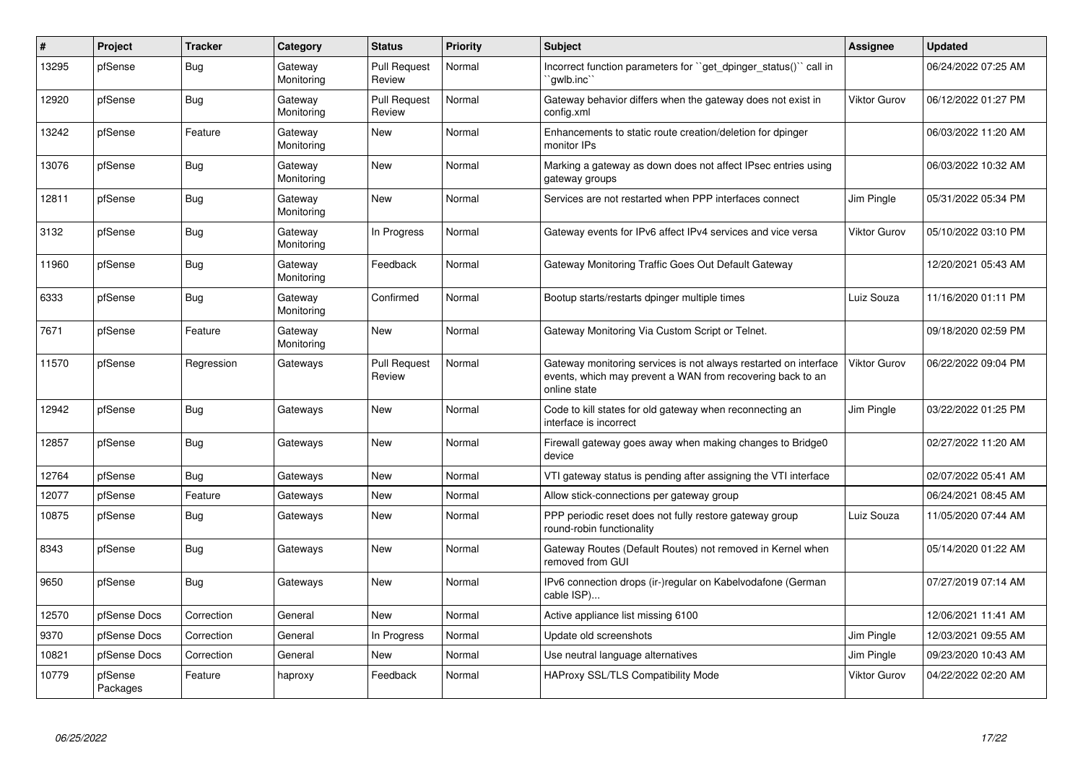| #     | Project             | <b>Tracker</b> | Category              | <b>Status</b>                 | <b>Priority</b> | <b>Subject</b>                                                                                                                                 | Assignee            | <b>Updated</b>      |
|-------|---------------------|----------------|-----------------------|-------------------------------|-----------------|------------------------------------------------------------------------------------------------------------------------------------------------|---------------------|---------------------|
| 13295 | pfSense             | <b>Bug</b>     | Gateway<br>Monitoring | <b>Pull Request</b><br>Review | Normal          | Incorrect function parameters for "get dpinger status()" call in<br>`qwlb.inc`                                                                 |                     | 06/24/2022 07:25 AM |
| 12920 | pfSense             | Bug            | Gateway<br>Monitoring | <b>Pull Request</b><br>Review | Normal          | Gateway behavior differs when the gateway does not exist in<br>config.xml                                                                      | <b>Viktor Gurov</b> | 06/12/2022 01:27 PM |
| 13242 | pfSense             | Feature        | Gateway<br>Monitoring | <b>New</b>                    | Normal          | Enhancements to static route creation/deletion for dpinger<br>monitor IPs                                                                      |                     | 06/03/2022 11:20 AM |
| 13076 | pfSense             | Bug            | Gateway<br>Monitoring | New                           | Normal          | Marking a gateway as down does not affect IPsec entries using<br>gateway groups                                                                |                     | 06/03/2022 10:32 AM |
| 12811 | pfSense             | <b>Bug</b>     | Gateway<br>Monitoring | <b>New</b>                    | Normal          | Services are not restarted when PPP interfaces connect                                                                                         | Jim Pingle          | 05/31/2022 05:34 PM |
| 3132  | pfSense             | Bug            | Gateway<br>Monitoring | In Progress                   | Normal          | Gateway events for IPv6 affect IPv4 services and vice versa                                                                                    | Viktor Gurov        | 05/10/2022 03:10 PM |
| 11960 | pfSense             | <b>Bug</b>     | Gateway<br>Monitoring | Feedback                      | Normal          | Gateway Monitoring Traffic Goes Out Default Gateway                                                                                            |                     | 12/20/2021 05:43 AM |
| 6333  | pfSense             | <b>Bug</b>     | Gateway<br>Monitoring | Confirmed                     | Normal          | Bootup starts/restarts dpinger multiple times                                                                                                  | Luiz Souza          | 11/16/2020 01:11 PM |
| 7671  | pfSense             | Feature        | Gateway<br>Monitoring | <b>New</b>                    | Normal          | Gateway Monitoring Via Custom Script or Telnet.                                                                                                |                     | 09/18/2020 02:59 PM |
| 11570 | pfSense             | Regression     | Gateways              | <b>Pull Request</b><br>Review | Normal          | Gateway monitoring services is not always restarted on interface<br>events, which may prevent a WAN from recovering back to an<br>online state | Viktor Gurov        | 06/22/2022 09:04 PM |
| 12942 | pfSense             | <b>Bug</b>     | Gateways              | <b>New</b>                    | Normal          | Code to kill states for old gateway when reconnecting an<br>interface is incorrect                                                             | Jim Pingle          | 03/22/2022 01:25 PM |
| 12857 | pfSense             | Bug            | Gateways              | <b>New</b>                    | Normal          | Firewall gateway goes away when making changes to Bridge0<br>device                                                                            |                     | 02/27/2022 11:20 AM |
| 12764 | pfSense             | Bug            | Gateways              | New                           | Normal          | VTI gateway status is pending after assigning the VTI interface                                                                                |                     | 02/07/2022 05:41 AM |
| 12077 | pfSense             | Feature        | Gateways              | <b>New</b>                    | Normal          | Allow stick-connections per gateway group                                                                                                      |                     | 06/24/2021 08:45 AM |
| 10875 | pfSense             | Bug            | Gateways              | New                           | Normal          | PPP periodic reset does not fully restore gateway group<br>round-robin functionality                                                           | Luiz Souza          | 11/05/2020 07:44 AM |
| 8343  | pfSense             | Bug            | Gateways              | <b>New</b>                    | Normal          | Gateway Routes (Default Routes) not removed in Kernel when<br>removed from GUI                                                                 |                     | 05/14/2020 01:22 AM |
| 9650  | pfSense             | <b>Bug</b>     | Gateways              | <b>New</b>                    | Normal          | IPv6 connection drops (ir-)regular on Kabelvodafone (German<br>cable ISP)                                                                      |                     | 07/27/2019 07:14 AM |
| 12570 | pfSense Docs        | Correction     | General               | <b>New</b>                    | Normal          | Active appliance list missing 6100                                                                                                             |                     | 12/06/2021 11:41 AM |
| 9370  | pfSense Docs        | Correction     | General               | In Progress                   | Normal          | Update old screenshots                                                                                                                         | Jim Pingle          | 12/03/2021 09:55 AM |
| 10821 | pfSense Docs        | Correction     | General               | <b>New</b>                    | Normal          | Use neutral language alternatives                                                                                                              | Jim Pingle          | 09/23/2020 10:43 AM |
| 10779 | pfSense<br>Packages | Feature        | haproxy               | Feedback                      | Normal          | HAProxy SSL/TLS Compatibility Mode                                                                                                             | <b>Viktor Gurov</b> | 04/22/2022 02:20 AM |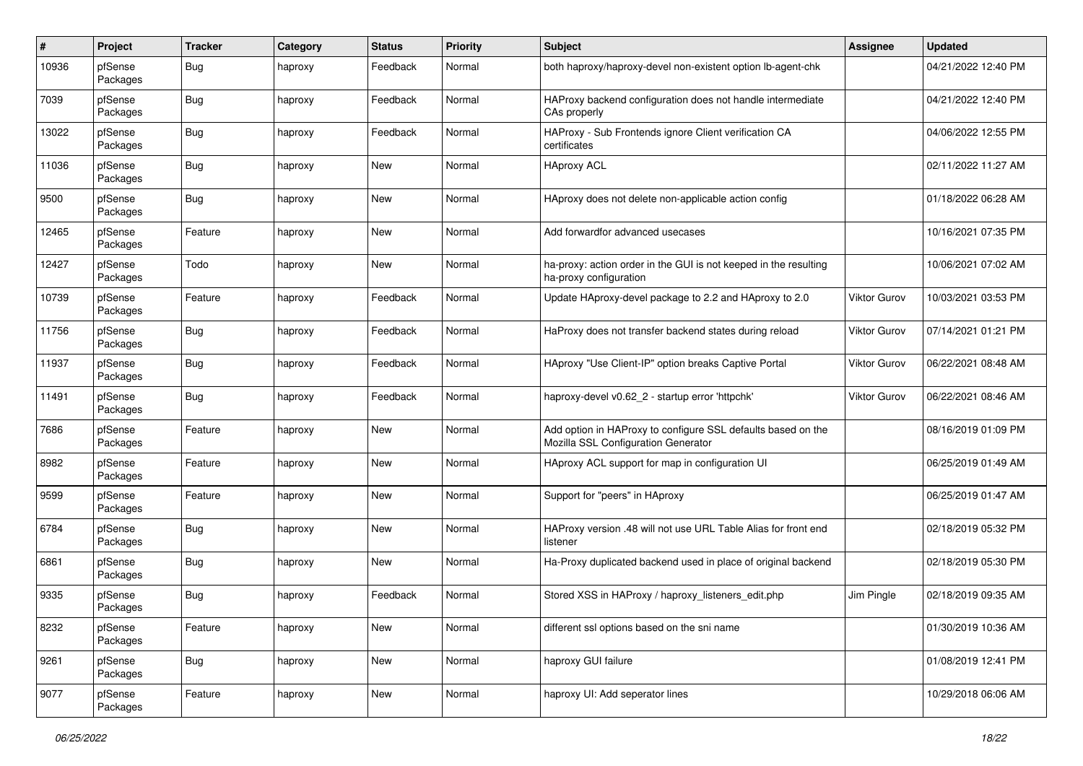| #     | Project             | <b>Tracker</b> | Category | <b>Status</b> | <b>Priority</b> | <b>Subject</b>                                                                                      | <b>Assignee</b>     | <b>Updated</b>      |
|-------|---------------------|----------------|----------|---------------|-----------------|-----------------------------------------------------------------------------------------------------|---------------------|---------------------|
| 10936 | pfSense<br>Packages | Bug            | haproxy  | Feedback      | Normal          | both haproxy/haproxy-devel non-existent option lb-agent-chk                                         |                     | 04/21/2022 12:40 PM |
| 7039  | pfSense<br>Packages | <b>Bug</b>     | haproxy  | Feedback      | Normal          | HAProxy backend configuration does not handle intermediate<br>CAs properly                          |                     | 04/21/2022 12:40 PM |
| 13022 | pfSense<br>Packages | <b>Bug</b>     | haproxy  | Feedback      | Normal          | HAProxy - Sub Frontends ignore Client verification CA<br>certificates                               |                     | 04/06/2022 12:55 PM |
| 11036 | pfSense<br>Packages | <b>Bug</b>     | haproxy  | New           | Normal          | <b>HAproxy ACL</b>                                                                                  |                     | 02/11/2022 11:27 AM |
| 9500  | pfSense<br>Packages | <b>Bug</b>     | haproxy  | <b>New</b>    | Normal          | HAproxy does not delete non-applicable action config                                                |                     | 01/18/2022 06:28 AM |
| 12465 | pfSense<br>Packages | Feature        | haproxy  | <b>New</b>    | Normal          | Add forwardfor advanced usecases                                                                    |                     | 10/16/2021 07:35 PM |
| 12427 | pfSense<br>Packages | Todo           | haproxy  | <b>New</b>    | Normal          | ha-proxy: action order in the GUI is not keeped in the resulting<br>ha-proxy configuration          |                     | 10/06/2021 07:02 AM |
| 10739 | pfSense<br>Packages | Feature        | haproxy  | Feedback      | Normal          | Update HAproxy-devel package to 2.2 and HAproxy to 2.0                                              | <b>Viktor Gurov</b> | 10/03/2021 03:53 PM |
| 11756 | pfSense<br>Packages | <b>Bug</b>     | haproxy  | Feedback      | Normal          | HaProxy does not transfer backend states during reload                                              | Viktor Gurov        | 07/14/2021 01:21 PM |
| 11937 | pfSense<br>Packages | <b>Bug</b>     | haproxy  | Feedback      | Normal          | HAproxy "Use Client-IP" option breaks Captive Portal                                                | Viktor Gurov        | 06/22/2021 08:48 AM |
| 11491 | pfSense<br>Packages | <b>Bug</b>     | haproxy  | Feedback      | Normal          | haproxy-devel v0.62_2 - startup error 'httpchk'                                                     | Viktor Gurov        | 06/22/2021 08:46 AM |
| 7686  | pfSense<br>Packages | Feature        | haproxy  | <b>New</b>    | Normal          | Add option in HAProxy to configure SSL defaults based on the<br>Mozilla SSL Configuration Generator |                     | 08/16/2019 01:09 PM |
| 8982  | pfSense<br>Packages | Feature        | haproxy  | New           | Normal          | HAproxy ACL support for map in configuration UI                                                     |                     | 06/25/2019 01:49 AM |
| 9599  | pfSense<br>Packages | Feature        | haproxy  | <b>New</b>    | Normal          | Support for "peers" in HAproxy                                                                      |                     | 06/25/2019 01:47 AM |
| 6784  | pfSense<br>Packages | <b>Bug</b>     | haproxy  | New           | Normal          | HAProxy version .48 will not use URL Table Alias for front end<br>listener                          |                     | 02/18/2019 05:32 PM |
| 6861  | pfSense<br>Packages | <b>Bug</b>     | haproxy  | <b>New</b>    | Normal          | Ha-Proxy duplicated backend used in place of original backend                                       |                     | 02/18/2019 05:30 PM |
| 9335  | pfSense<br>Packages | <b>Bug</b>     | haproxy  | Feedback      | Normal          | Stored XSS in HAProxy / haproxy_listeners_edit.php                                                  | Jim Pingle          | 02/18/2019 09:35 AM |
| 8232  | pfSense<br>Packages | Feature        | haproxy  | New           | Normal          | different ssl options based on the sni name                                                         |                     | 01/30/2019 10:36 AM |
| 9261  | pfSense<br>Packages | Bug            | haproxy  | New           | Normal          | haproxy GUI failure                                                                                 |                     | 01/08/2019 12:41 PM |
| 9077  | pfSense<br>Packages | Feature        | haproxy  | New           | Normal          | haproxy UI: Add seperator lines                                                                     |                     | 10/29/2018 06:06 AM |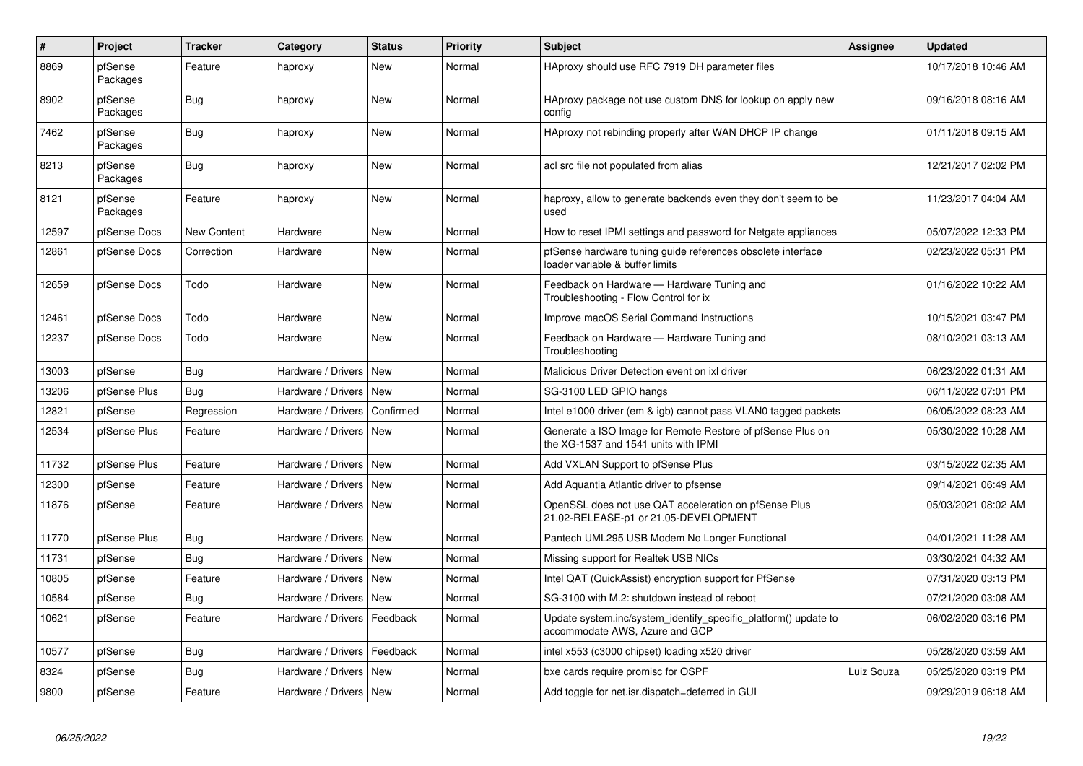| #     | Project             | <b>Tracker</b>     | Category                 | <b>Status</b> | <b>Priority</b> | <b>Subject</b>                                                                                     | Assignee   | <b>Updated</b>      |
|-------|---------------------|--------------------|--------------------------|---------------|-----------------|----------------------------------------------------------------------------------------------------|------------|---------------------|
| 8869  | pfSense<br>Packages | Feature            | haproxy                  | <b>New</b>    | Normal          | HAproxy should use RFC 7919 DH parameter files                                                     |            | 10/17/2018 10:46 AM |
| 8902  | pfSense<br>Packages | Bug                | haproxy                  | New           | Normal          | HAproxy package not use custom DNS for lookup on apply new<br>config                               |            | 09/16/2018 08:16 AM |
| 7462  | pfSense<br>Packages | Bug                | haproxy                  | <b>New</b>    | Normal          | HAproxy not rebinding properly after WAN DHCP IP change                                            |            | 01/11/2018 09:15 AM |
| 8213  | pfSense<br>Packages | Bug                | haproxy                  | <b>New</b>    | Normal          | acl src file not populated from alias                                                              |            | 12/21/2017 02:02 PM |
| 8121  | pfSense<br>Packages | Feature            | haproxy                  | <b>New</b>    | Normal          | haproxy, allow to generate backends even they don't seem to be<br>used                             |            | 11/23/2017 04:04 AM |
| 12597 | pfSense Docs        | <b>New Content</b> | Hardware                 | <b>New</b>    | Normal          | How to reset IPMI settings and password for Netgate appliances                                     |            | 05/07/2022 12:33 PM |
| 12861 | pfSense Docs        | Correction         | Hardware                 | <b>New</b>    | Normal          | pfSense hardware tuning guide references obsolete interface<br>loader variable & buffer limits     |            | 02/23/2022 05:31 PM |
| 12659 | pfSense Docs        | Todo               | Hardware                 | <b>New</b>    | Normal          | Feedback on Hardware - Hardware Tuning and<br>Troubleshooting - Flow Control for ix                |            | 01/16/2022 10:22 AM |
| 12461 | pfSense Docs        | Todo               | Hardware                 | <b>New</b>    | Normal          | Improve macOS Serial Command Instructions                                                          |            | 10/15/2021 03:47 PM |
| 12237 | pfSense Docs        | Todo               | Hardware                 | <b>New</b>    | Normal          | Feedback on Hardware - Hardware Tuning and<br>Troubleshooting                                      |            | 08/10/2021 03:13 AM |
| 13003 | pfSense             | Bug                | Hardware / Drivers       | New           | Normal          | Malicious Driver Detection event on ixl driver                                                     |            | 06/23/2022 01:31 AM |
| 13206 | pfSense Plus        | Bug                | Hardware / Drivers       | <b>New</b>    | Normal          | SG-3100 LED GPIO hangs                                                                             |            | 06/11/2022 07:01 PM |
| 12821 | pfSense             | Regression         | Hardware / Drivers       | Confirmed     | Normal          | Intel e1000 driver (em & igb) cannot pass VLAN0 tagged packets                                     |            | 06/05/2022 08:23 AM |
| 12534 | pfSense Plus        | Feature            | Hardware / Drivers       | <b>New</b>    | Normal          | Generate a ISO Image for Remote Restore of pfSense Plus on<br>the XG-1537 and 1541 units with IPMI |            | 05/30/2022 10:28 AM |
| 11732 | pfSense Plus        | Feature            | Hardware / Drivers       | New           | Normal          | Add VXLAN Support to pfSense Plus                                                                  |            | 03/15/2022 02:35 AM |
| 12300 | pfSense             | Feature            | Hardware / Drivers       | <b>New</b>    | Normal          | Add Aquantia Atlantic driver to pfsense                                                            |            | 09/14/2021 06:49 AM |
| 11876 | pfSense             | Feature            | Hardware / Drivers       | New           | Normal          | OpenSSL does not use QAT acceleration on pfSense Plus<br>21.02-RELEASE-p1 or 21.05-DEVELOPMENT     |            | 05/03/2021 08:02 AM |
| 11770 | pfSense Plus        | Bug                | Hardware / Drivers       | New           | Normal          | Pantech UML295 USB Modem No Longer Functional                                                      |            | 04/01/2021 11:28 AM |
| 11731 | pfSense             | Bug                | Hardware / Drivers       | New           | Normal          | Missing support for Realtek USB NICs                                                               |            | 03/30/2021 04:32 AM |
| 10805 | pfSense             | Feature            | Hardware / Drivers       | <b>New</b>    | Normal          | Intel QAT (QuickAssist) encryption support for PfSense                                             |            | 07/31/2020 03:13 PM |
| 10584 | pfSense             | Bug                | Hardware / Drivers       | New           | Normal          | SG-3100 with M.2: shutdown instead of reboot                                                       |            | 07/21/2020 03:08 AM |
| 10621 | pfSense             | Feature            | Hardware / Drivers       | Feedback      | Normal          | Update system.inc/system_identify_specific_platform() update to<br>accommodate AWS, Azure and GCP  |            | 06/02/2020 03:16 PM |
| 10577 | pfSense             | Bug                | Hardware / Drivers       | Feedback      | Normal          | intel x553 (c3000 chipset) loading x520 driver                                                     |            | 05/28/2020 03:59 AM |
| 8324  | pfSense             | Bug                | Hardware / Drivers       | New           | Normal          | bxe cards require promisc for OSPF                                                                 | Luiz Souza | 05/25/2020 03:19 PM |
| 9800  | pfSense             | Feature            | Hardware / Drivers   New |               | Normal          | Add toggle for net.isr.dispatch=deferred in GUI                                                    |            | 09/29/2019 06:18 AM |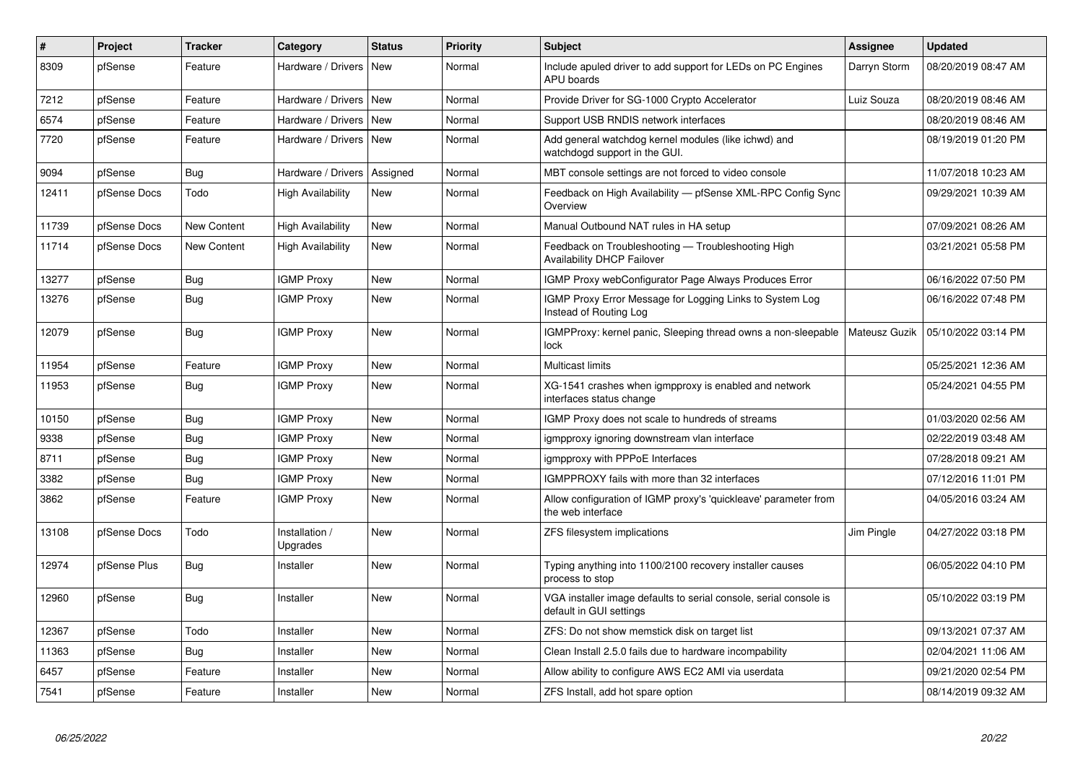| #     | Project      | <b>Tracker</b> | Category                   | <b>Status</b> | Priority | <b>Subject</b>                                                                               | Assignee      | <b>Updated</b>      |
|-------|--------------|----------------|----------------------------|---------------|----------|----------------------------------------------------------------------------------------------|---------------|---------------------|
| 8309  | pfSense      | Feature        | Hardware / Drivers         | <b>New</b>    | Normal   | Include apuled driver to add support for LEDs on PC Engines<br><b>APU</b> boards             | Darryn Storm  | 08/20/2019 08:47 AM |
| 7212  | pfSense      | Feature        | Hardware / Drivers         | New           | Normal   | Provide Driver for SG-1000 Crypto Accelerator                                                | Luiz Souza    | 08/20/2019 08:46 AM |
| 6574  | pfSense      | Feature        | Hardware / Drivers         | <b>New</b>    | Normal   | Support USB RNDIS network interfaces                                                         |               | 08/20/2019 08:46 AM |
| 7720  | pfSense      | Feature        | Hardware / Drivers         | <b>New</b>    | Normal   | Add general watchdog kernel modules (like ichwd) and<br>watchdogd support in the GUI.        |               | 08/19/2019 01:20 PM |
| 9094  | pfSense      | <b>Bug</b>     | Hardware / Drivers         | Assigned      | Normal   | MBT console settings are not forced to video console                                         |               | 11/07/2018 10:23 AM |
| 12411 | pfSense Docs | Todo           | High Availability          | New           | Normal   | Feedback on High Availability - pfSense XML-RPC Config Sync<br>Overview                      |               | 09/29/2021 10:39 AM |
| 11739 | pfSense Docs | New Content    | <b>High Availability</b>   | <b>New</b>    | Normal   | Manual Outbound NAT rules in HA setup                                                        |               | 07/09/2021 08:26 AM |
| 11714 | pfSense Docs | New Content    | <b>High Availability</b>   | <b>New</b>    | Normal   | Feedback on Troubleshooting - Troubleshooting High<br><b>Availability DHCP Failover</b>      |               | 03/21/2021 05:58 PM |
| 13277 | pfSense      | Bug            | <b>IGMP Proxy</b>          | <b>New</b>    | Normal   | IGMP Proxy webConfigurator Page Always Produces Error                                        |               | 06/16/2022 07:50 PM |
| 13276 | pfSense      | <b>Bug</b>     | <b>IGMP Proxy</b>          | <b>New</b>    | Normal   | IGMP Proxy Error Message for Logging Links to System Log<br>Instead of Routing Log           |               | 06/16/2022 07:48 PM |
| 12079 | pfSense      | Bug            | <b>IGMP Proxy</b>          | New           | Normal   | IGMPProxy: kernel panic, Sleeping thread owns a non-sleepable<br>lock                        | Mateusz Guzik | 05/10/2022 03:14 PM |
| 11954 | pfSense      | Feature        | <b>IGMP Proxy</b>          | <b>New</b>    | Normal   | <b>Multicast limits</b>                                                                      |               | 05/25/2021 12:36 AM |
| 11953 | pfSense      | <b>Bug</b>     | <b>IGMP Proxy</b>          | New           | Normal   | XG-1541 crashes when igmpproxy is enabled and network<br>interfaces status change            |               | 05/24/2021 04:55 PM |
| 10150 | pfSense      | Bug            | <b>IGMP Proxy</b>          | <b>New</b>    | Normal   | IGMP Proxy does not scale to hundreds of streams                                             |               | 01/03/2020 02:56 AM |
| 9338  | pfSense      | Bug            | <b>IGMP Proxy</b>          | <b>New</b>    | Normal   | igmpproxy ignoring downstream vlan interface                                                 |               | 02/22/2019 03:48 AM |
| 8711  | pfSense      | Bug            | <b>IGMP Proxy</b>          | <b>New</b>    | Normal   | igmpproxy with PPPoE Interfaces                                                              |               | 07/28/2018 09:21 AM |
| 3382  | pfSense      | <b>Bug</b>     | <b>IGMP Proxy</b>          | New           | Normal   | IGMPPROXY fails with more than 32 interfaces                                                 |               | 07/12/2016 11:01 PM |
| 3862  | pfSense      | Feature        | <b>IGMP Proxy</b>          | <b>New</b>    | Normal   | Allow configuration of IGMP proxy's 'quickleave' parameter from<br>the web interface         |               | 04/05/2016 03:24 AM |
| 13108 | pfSense Docs | Todo           | Installation /<br>Upgrades | <b>New</b>    | Normal   | ZFS filesystem implications                                                                  | Jim Pingle    | 04/27/2022 03:18 PM |
| 12974 | pfSense Plus | Bug            | Installer                  | <b>New</b>    | Normal   | Typing anything into 1100/2100 recovery installer causes<br>process to stop                  |               | 06/05/2022 04:10 PM |
| 12960 | pfSense      | Bug            | Installer                  | New           | Normal   | VGA installer image defaults to serial console, serial console is<br>default in GUI settings |               | 05/10/2022 03:19 PM |
| 12367 | pfSense      | Todo           | Installer                  | <b>New</b>    | Normal   | ZFS: Do not show memstick disk on target list                                                |               | 09/13/2021 07:37 AM |
| 11363 | pfSense      | Bug            | Installer                  | <b>New</b>    | Normal   | Clean Install 2.5.0 fails due to hardware incompability                                      |               | 02/04/2021 11:06 AM |
| 6457  | pfSense      | Feature        | Installer                  | <b>New</b>    | Normal   | Allow ability to configure AWS EC2 AMI via userdata                                          |               | 09/21/2020 02:54 PM |
| 7541  | pfSense      | Feature        | Installer                  | New           | Normal   | ZFS Install, add hot spare option                                                            |               | 08/14/2019 09:32 AM |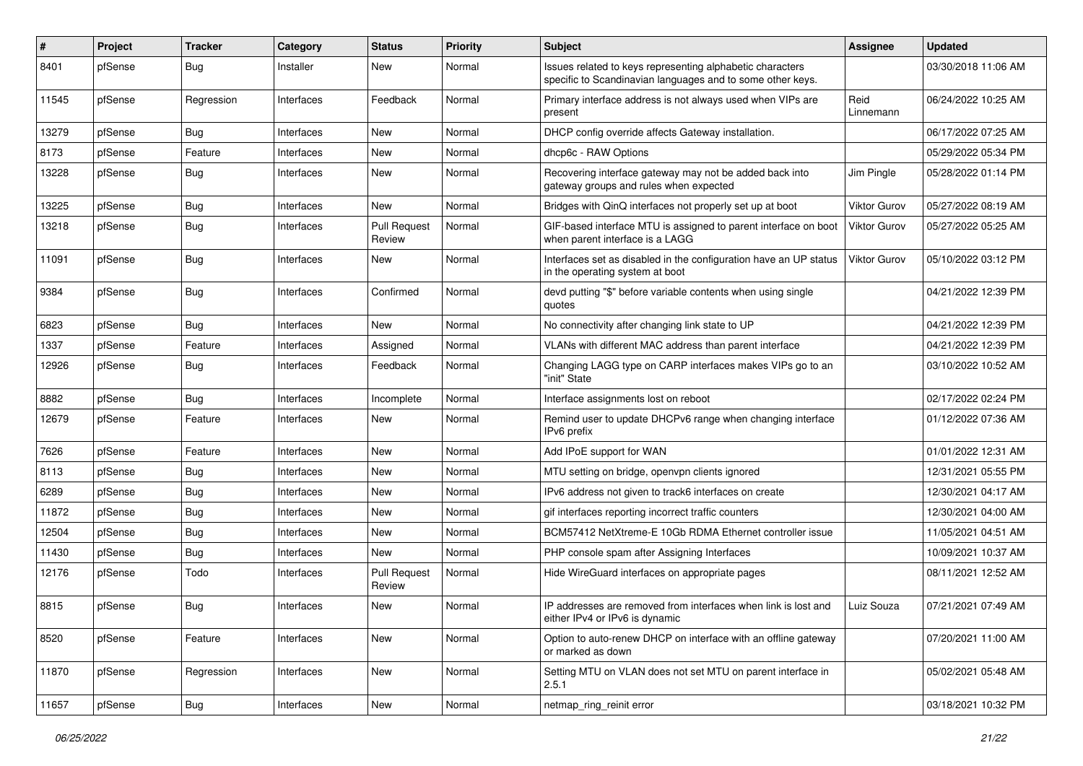| #     | Project | <b>Tracker</b> | Category   | <b>Status</b>                 | Priority | <b>Subject</b>                                                                                                          | <b>Assignee</b>     | <b>Updated</b>      |
|-------|---------|----------------|------------|-------------------------------|----------|-------------------------------------------------------------------------------------------------------------------------|---------------------|---------------------|
| 8401  | pfSense | <b>Bug</b>     | Installer  | New                           | Normal   | Issues related to keys representing alphabetic characters<br>specific to Scandinavian languages and to some other keys. |                     | 03/30/2018 11:06 AM |
| 11545 | pfSense | Regression     | Interfaces | Feedback                      | Normal   | Primary interface address is not always used when VIPs are<br>present                                                   | Reid<br>Linnemann   | 06/24/2022 10:25 AM |
| 13279 | pfSense | Bug            | Interfaces | <b>New</b>                    | Normal   | DHCP config override affects Gateway installation.                                                                      |                     | 06/17/2022 07:25 AM |
| 8173  | pfSense | Feature        | Interfaces | New                           | Normal   | dhcp6c - RAW Options                                                                                                    |                     | 05/29/2022 05:34 PM |
| 13228 | pfSense | Bug            | Interfaces | New                           | Normal   | Recovering interface gateway may not be added back into<br>gateway groups and rules when expected                       | Jim Pingle          | 05/28/2022 01:14 PM |
| 13225 | pfSense | <b>Bug</b>     | Interfaces | <b>New</b>                    | Normal   | Bridges with QinQ interfaces not properly set up at boot                                                                | Viktor Gurov        | 05/27/2022 08:19 AM |
| 13218 | pfSense | <b>Bug</b>     | Interfaces | <b>Pull Request</b><br>Review | Normal   | GIF-based interface MTU is assigned to parent interface on boot<br>when parent interface is a LAGG                      | Viktor Gurov        | 05/27/2022 05:25 AM |
| 11091 | pfSense | Bug            | Interfaces | New                           | Normal   | Interfaces set as disabled in the configuration have an UP status<br>in the operating system at boot                    | <b>Viktor Gurov</b> | 05/10/2022 03:12 PM |
| 9384  | pfSense | Bug            | Interfaces | Confirmed                     | Normal   | devd putting "\$" before variable contents when using single<br>quotes                                                  |                     | 04/21/2022 12:39 PM |
| 6823  | pfSense | Bug            | Interfaces | <b>New</b>                    | Normal   | No connectivity after changing link state to UP                                                                         |                     | 04/21/2022 12:39 PM |
| 1337  | pfSense | Feature        | Interfaces | Assigned                      | Normal   | VLANs with different MAC address than parent interface                                                                  |                     | 04/21/2022 12:39 PM |
| 12926 | pfSense | Bug            | Interfaces | Feedback                      | Normal   | Changing LAGG type on CARP interfaces makes VIPs go to an<br>"init" State                                               |                     | 03/10/2022 10:52 AM |
| 8882  | pfSense | <b>Bug</b>     | Interfaces | Incomplete                    | Normal   | Interface assignments lost on reboot                                                                                    |                     | 02/17/2022 02:24 PM |
| 12679 | pfSense | Feature        | Interfaces | New                           | Normal   | Remind user to update DHCPv6 range when changing interface<br>IPv6 prefix                                               |                     | 01/12/2022 07:36 AM |
| 7626  | pfSense | Feature        | Interfaces | <b>New</b>                    | Normal   | Add IPoE support for WAN                                                                                                |                     | 01/01/2022 12:31 AM |
| 8113  | pfSense | Bug            | Interfaces | <b>New</b>                    | Normal   | MTU setting on bridge, openvpn clients ignored                                                                          |                     | 12/31/2021 05:55 PM |
| 6289  | pfSense | Bug            | Interfaces | New                           | Normal   | IPv6 address not given to track6 interfaces on create                                                                   |                     | 12/30/2021 04:17 AM |
| 11872 | pfSense | <b>Bug</b>     | Interfaces | <b>New</b>                    | Normal   | gif interfaces reporting incorrect traffic counters                                                                     |                     | 12/30/2021 04:00 AM |
| 12504 | pfSense | Bug            | Interfaces | New                           | Normal   | BCM57412 NetXtreme-E 10Gb RDMA Ethernet controller issue                                                                |                     | 11/05/2021 04:51 AM |
| 11430 | pfSense | <b>Bug</b>     | Interfaces | <b>New</b>                    | Normal   | PHP console spam after Assigning Interfaces                                                                             |                     | 10/09/2021 10:37 AM |
| 12176 | pfSense | Todo           | Interfaces | <b>Pull Request</b><br>Review | Normal   | Hide WireGuard interfaces on appropriate pages                                                                          |                     | 08/11/2021 12:52 AM |
| 8815  | pfSense | Bug            | Interfaces | New                           | Normal   | IP addresses are removed from interfaces when link is lost and<br>either IPv4 or IPv6 is dynamic                        | Luiz Souza          | 07/21/2021 07:49 AM |
| 8520  | pfSense | Feature        | Interfaces | New                           | Normal   | Option to auto-renew DHCP on interface with an offline gateway<br>or marked as down                                     |                     | 07/20/2021 11:00 AM |
| 11870 | pfSense | Regression     | Interfaces | New                           | Normal   | Setting MTU on VLAN does not set MTU on parent interface in<br>2.5.1                                                    |                     | 05/02/2021 05:48 AM |
| 11657 | pfSense | Bug            | Interfaces | New                           | Normal   | netmap_ring_reinit error                                                                                                |                     | 03/18/2021 10:32 PM |